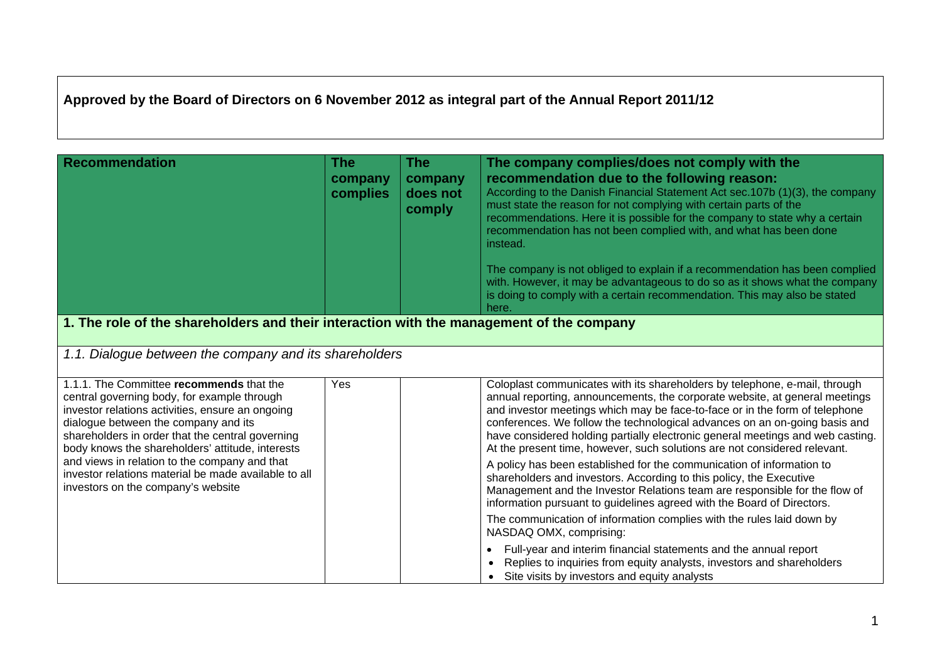## **Approved by the Board of Directors on 6 November 2012 as integral part of the Annual Report 2011/12**

| <b>Recommendation</b>                                                                                                                                                                                                                                                                                                                                                                                                                      | <b>The</b><br>company<br>complies                                                        | <b>The</b><br>company<br>does not<br>comply | The company complies/does not comply with the<br>recommendation due to the following reason:<br>According to the Danish Financial Statement Act sec.107b (1)(3), the company<br>must state the reason for not complying with certain parts of the<br>recommendations. Here it is possible for the company to state why a certain<br>recommendation has not been complied with, and what has been done<br>instead.<br>The company is not obliged to explain if a recommendation has been complied<br>with. However, it may be advantageous to do so as it shows what the company<br>is doing to comply with a certain recommendation. This may also be stated<br>here. |  |  |  |
|--------------------------------------------------------------------------------------------------------------------------------------------------------------------------------------------------------------------------------------------------------------------------------------------------------------------------------------------------------------------------------------------------------------------------------------------|------------------------------------------------------------------------------------------|---------------------------------------------|-----------------------------------------------------------------------------------------------------------------------------------------------------------------------------------------------------------------------------------------------------------------------------------------------------------------------------------------------------------------------------------------------------------------------------------------------------------------------------------------------------------------------------------------------------------------------------------------------------------------------------------------------------------------------|--|--|--|
|                                                                                                                                                                                                                                                                                                                                                                                                                                            | 1. The role of the shareholders and their interaction with the management of the company |                                             |                                                                                                                                                                                                                                                                                                                                                                                                                                                                                                                                                                                                                                                                       |  |  |  |
| 1.1. Dialogue between the company and its shareholders                                                                                                                                                                                                                                                                                                                                                                                     |                                                                                          |                                             |                                                                                                                                                                                                                                                                                                                                                                                                                                                                                                                                                                                                                                                                       |  |  |  |
| 1.1.1. The Committee recommends that the<br>central governing body, for example through<br>investor relations activities, ensure an ongoing<br>dialogue between the company and its<br>shareholders in order that the central governing<br>body knows the shareholders' attitude, interests<br>and views in relation to the company and that<br>investor relations material be made available to all<br>investors on the company's website | Yes                                                                                      |                                             | Coloplast communicates with its shareholders by telephone, e-mail, through<br>annual reporting, announcements, the corporate website, at general meetings<br>and investor meetings which may be face-to-face or in the form of telephone<br>conferences. We follow the technological advances on an on-going basis and<br>have considered holding partially electronic general meetings and web casting.<br>At the present time, however, such solutions are not considered relevant.<br>A policy has been established for the communication of information to<br>shareholders and investors. According to this policy, the Executive                                 |  |  |  |
|                                                                                                                                                                                                                                                                                                                                                                                                                                            |                                                                                          |                                             | Management and the Investor Relations team are responsible for the flow of<br>information pursuant to guidelines agreed with the Board of Directors.                                                                                                                                                                                                                                                                                                                                                                                                                                                                                                                  |  |  |  |
|                                                                                                                                                                                                                                                                                                                                                                                                                                            |                                                                                          |                                             | The communication of information complies with the rules laid down by<br>NASDAQ OMX, comprising:                                                                                                                                                                                                                                                                                                                                                                                                                                                                                                                                                                      |  |  |  |
|                                                                                                                                                                                                                                                                                                                                                                                                                                            |                                                                                          |                                             | Full-year and interim financial statements and the annual report<br>$\bullet$<br>Replies to inquiries from equity analysts, investors and shareholders<br>• Site visits by investors and equity analysts                                                                                                                                                                                                                                                                                                                                                                                                                                                              |  |  |  |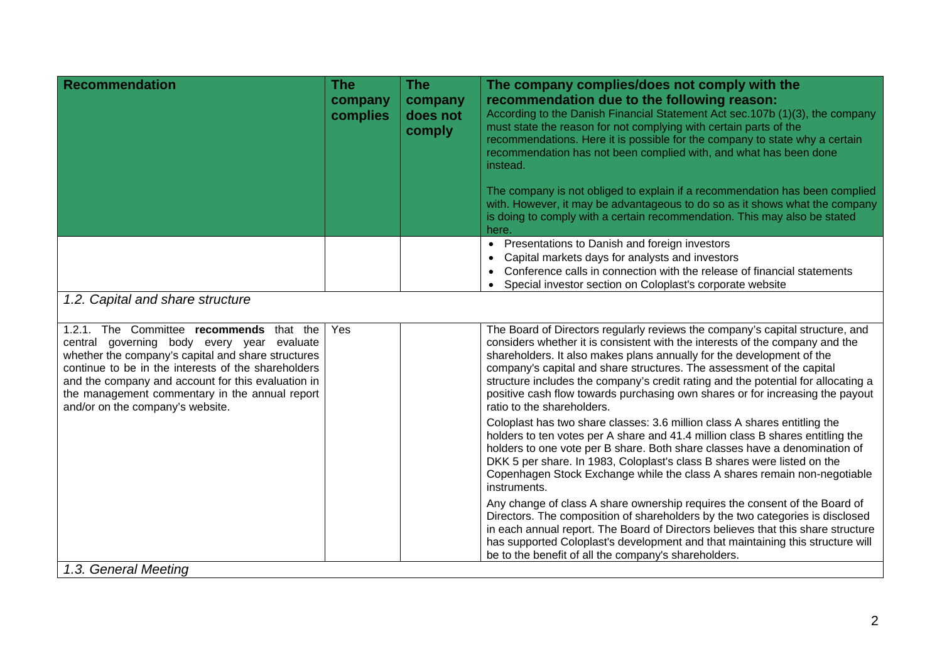| company<br>complies              | company<br>does not<br>comply                                                                                                                                                                                                                                                                               | The company complies/does not comply with the<br>recommendation due to the following reason:<br>According to the Danish Financial Statement Act sec.107b (1)(3), the company<br>must state the reason for not complying with certain parts of the<br>recommendations. Here it is possible for the company to state why a certain<br>recommendation has not been complied with, and what has been done<br>instead.                                                                                                   |  |  |  |
|----------------------------------|-------------------------------------------------------------------------------------------------------------------------------------------------------------------------------------------------------------------------------------------------------------------------------------------------------------|---------------------------------------------------------------------------------------------------------------------------------------------------------------------------------------------------------------------------------------------------------------------------------------------------------------------------------------------------------------------------------------------------------------------------------------------------------------------------------------------------------------------|--|--|--|
|                                  |                                                                                                                                                                                                                                                                                                             | The company is not obliged to explain if a recommendation has been complied<br>with. However, it may be advantageous to do so as it shows what the company<br>is doing to comply with a certain recommendation. This may also be stated<br>here.                                                                                                                                                                                                                                                                    |  |  |  |
|                                  |                                                                                                                                                                                                                                                                                                             | • Presentations to Danish and foreign investors<br>Capital markets days for analysts and investors<br>$\bullet$<br>Conference calls in connection with the release of financial statements<br>$\bullet$<br>Special investor section on Coloplast's corporate website<br>$\bullet$                                                                                                                                                                                                                                   |  |  |  |
| 1.2. Capital and share structure |                                                                                                                                                                                                                                                                                                             |                                                                                                                                                                                                                                                                                                                                                                                                                                                                                                                     |  |  |  |
| Yes                              |                                                                                                                                                                                                                                                                                                             | The Board of Directors regularly reviews the company's capital structure, and<br>considers whether it is consistent with the interests of the company and the<br>shareholders. It also makes plans annually for the development of the<br>company's capital and share structures. The assessment of the capital<br>structure includes the company's credit rating and the potential for allocating a<br>positive cash flow towards purchasing own shares or for increasing the payout<br>ratio to the shareholders. |  |  |  |
|                                  |                                                                                                                                                                                                                                                                                                             | Coloplast has two share classes: 3.6 million class A shares entitling the<br>holders to ten votes per A share and 41.4 million class B shares entitling the<br>holders to one vote per B share. Both share classes have a denomination of<br>DKK 5 per share. In 1983, Coloplast's class B shares were listed on the<br>Copenhagen Stock Exchange while the class A shares remain non-negotiable<br>instruments.                                                                                                    |  |  |  |
|                                  |                                                                                                                                                                                                                                                                                                             | Any change of class A share ownership requires the consent of the Board of<br>Directors. The composition of shareholders by the two categories is disclosed<br>in each annual report. The Board of Directors believes that this share structure<br>has supported Coloplast's development and that maintaining this structure will<br>be to the benefit of all the company's shareholders.                                                                                                                           |  |  |  |
|                                  | 1.2.1. The Committee recommends that the<br>central governing body every year evaluate<br>whether the company's capital and share structures<br>continue to be in the interests of the shareholders<br>and the company and account for this evaluation in<br>the management commentary in the annual report |                                                                                                                                                                                                                                                                                                                                                                                                                                                                                                                     |  |  |  |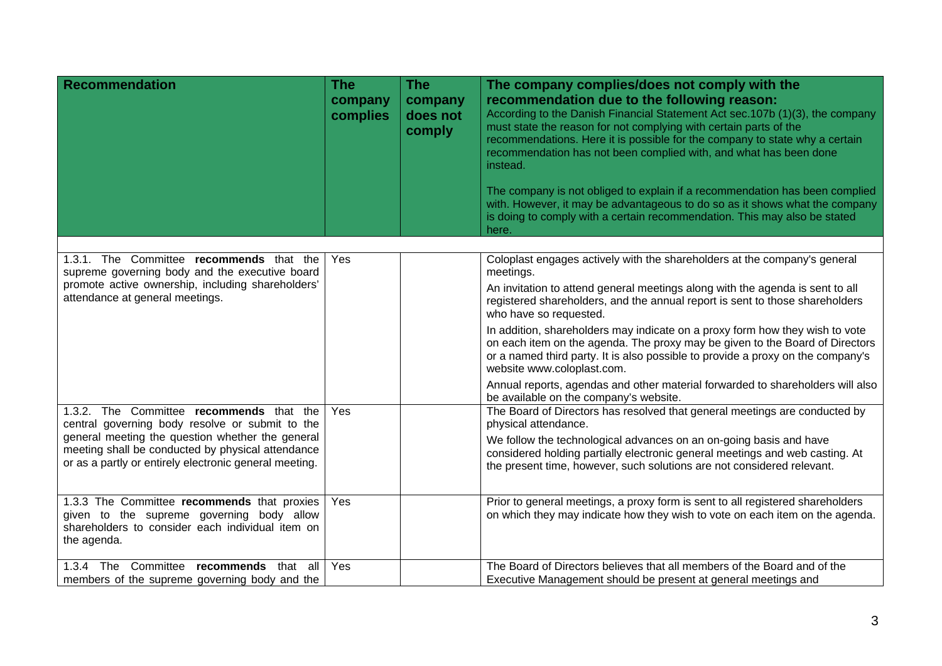| <b>Recommendation</b>                                                                                                                                           | <b>The</b><br>company<br>complies | <b>The</b><br>company<br>does not<br>comply | The company complies/does not comply with the<br>recommendation due to the following reason:<br>According to the Danish Financial Statement Act sec.107b (1)(3), the company<br>must state the reason for not complying with certain parts of the<br>recommendations. Here it is possible for the company to state why a certain<br>recommendation has not been complied with, and what has been done<br>instead.<br>The company is not obliged to explain if a recommendation has been complied<br>with. However, it may be advantageous to do so as it shows what the company<br>is doing to comply with a certain recommendation. This may also be stated<br>here. |
|-----------------------------------------------------------------------------------------------------------------------------------------------------------------|-----------------------------------|---------------------------------------------|-----------------------------------------------------------------------------------------------------------------------------------------------------------------------------------------------------------------------------------------------------------------------------------------------------------------------------------------------------------------------------------------------------------------------------------------------------------------------------------------------------------------------------------------------------------------------------------------------------------------------------------------------------------------------|
|                                                                                                                                                                 |                                   |                                             |                                                                                                                                                                                                                                                                                                                                                                                                                                                                                                                                                                                                                                                                       |
| 1.3.1. The Committee recommends that the<br>supreme governing body and the executive board                                                                      | Yes                               |                                             | Coloplast engages actively with the shareholders at the company's general<br>meetings.                                                                                                                                                                                                                                                                                                                                                                                                                                                                                                                                                                                |
| promote active ownership, including shareholders'<br>attendance at general meetings.                                                                            |                                   |                                             | An invitation to attend general meetings along with the agenda is sent to all<br>registered shareholders, and the annual report is sent to those shareholders<br>who have so requested.                                                                                                                                                                                                                                                                                                                                                                                                                                                                               |
|                                                                                                                                                                 |                                   |                                             | In addition, shareholders may indicate on a proxy form how they wish to vote<br>on each item on the agenda. The proxy may be given to the Board of Directors<br>or a named third party. It is also possible to provide a proxy on the company's<br>website www.coloplast.com.                                                                                                                                                                                                                                                                                                                                                                                         |
|                                                                                                                                                                 |                                   |                                             | Annual reports, agendas and other material forwarded to shareholders will also<br>be available on the company's website.                                                                                                                                                                                                                                                                                                                                                                                                                                                                                                                                              |
| 1.3.2. The Committee recommends that the<br>central governing body resolve or submit to the                                                                     | Yes                               |                                             | The Board of Directors has resolved that general meetings are conducted by<br>physical attendance.                                                                                                                                                                                                                                                                                                                                                                                                                                                                                                                                                                    |
| general meeting the question whether the general<br>meeting shall be conducted by physical attendance<br>or as a partly or entirely electronic general meeting. |                                   |                                             | We follow the technological advances on an on-going basis and have<br>considered holding partially electronic general meetings and web casting. At<br>the present time, however, such solutions are not considered relevant.                                                                                                                                                                                                                                                                                                                                                                                                                                          |
| 1.3.3 The Committee recommends that proxies<br>given to the supreme governing body allow<br>shareholders to consider each individual item on<br>the agenda.     | Yes                               |                                             | Prior to general meetings, a proxy form is sent to all registered shareholders<br>on which they may indicate how they wish to vote on each item on the agenda.                                                                                                                                                                                                                                                                                                                                                                                                                                                                                                        |
| 1.3.4 The Committee recommends that all<br>members of the supreme governing body and the                                                                        | Yes                               |                                             | The Board of Directors believes that all members of the Board and of the<br>Executive Management should be present at general meetings and                                                                                                                                                                                                                                                                                                                                                                                                                                                                                                                            |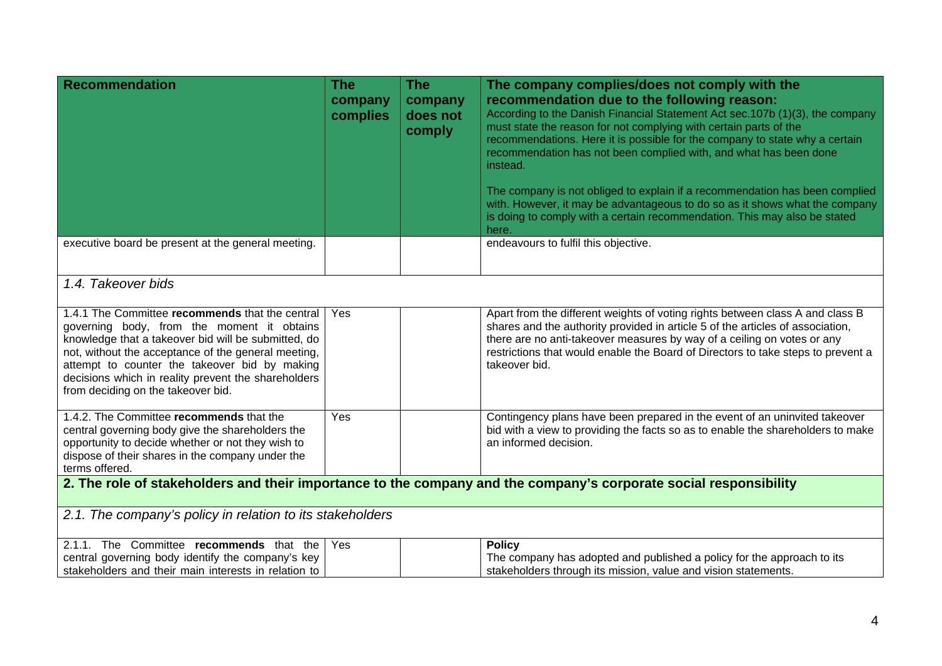| <b>Recommendation</b>                                                                                                                                                                                                                                                                                                                                     | <b>The</b><br>company<br>complies | <b>The</b><br>company<br>does not<br>comply | The company complies/does not comply with the<br>recommendation due to the following reason:<br>According to the Danish Financial Statement Act sec.107b (1)(3), the company<br>must state the reason for not complying with certain parts of the<br>recommendations. Here it is possible for the company to state why a certain<br>recommendation has not been complied with, and what has been done<br>instead. |  |  |
|-----------------------------------------------------------------------------------------------------------------------------------------------------------------------------------------------------------------------------------------------------------------------------------------------------------------------------------------------------------|-----------------------------------|---------------------------------------------|-------------------------------------------------------------------------------------------------------------------------------------------------------------------------------------------------------------------------------------------------------------------------------------------------------------------------------------------------------------------------------------------------------------------|--|--|
|                                                                                                                                                                                                                                                                                                                                                           |                                   |                                             | The company is not obliged to explain if a recommendation has been complied<br>with. However, it may be advantageous to do so as it shows what the company<br>is doing to comply with a certain recommendation. This may also be stated<br>here.                                                                                                                                                                  |  |  |
| executive board be present at the general meeting.                                                                                                                                                                                                                                                                                                        |                                   |                                             | endeavours to fulfil this objective.                                                                                                                                                                                                                                                                                                                                                                              |  |  |
| 1.4. Takeover bids                                                                                                                                                                                                                                                                                                                                        |                                   |                                             |                                                                                                                                                                                                                                                                                                                                                                                                                   |  |  |
| 1.4.1 The Committee recommends that the central<br>governing body, from the moment it obtains<br>knowledge that a takeover bid will be submitted, do<br>not, without the acceptance of the general meeting,<br>attempt to counter the takeover bid by making<br>decisions which in reality prevent the shareholders<br>from deciding on the takeover bid. | Yes                               |                                             | Apart from the different weights of voting rights between class A and class B<br>shares and the authority provided in article 5 of the articles of association,<br>there are no anti-takeover measures by way of a ceiling on votes or any<br>restrictions that would enable the Board of Directors to take steps to prevent a<br>takeover bid.                                                                   |  |  |
| 1.4.2. The Committee recommends that the<br>central governing body give the shareholders the<br>opportunity to decide whether or not they wish to<br>dispose of their shares in the company under the<br>terms offered.                                                                                                                                   | Yes                               |                                             | Contingency plans have been prepared in the event of an uninvited takeover<br>bid with a view to providing the facts so as to enable the shareholders to make<br>an informed decision.                                                                                                                                                                                                                            |  |  |
| 2. The role of stakeholders and their importance to the company and the company's corporate social responsibility                                                                                                                                                                                                                                         |                                   |                                             |                                                                                                                                                                                                                                                                                                                                                                                                                   |  |  |
| 2.1. The company's policy in relation to its stakeholders                                                                                                                                                                                                                                                                                                 |                                   |                                             |                                                                                                                                                                                                                                                                                                                                                                                                                   |  |  |
| 2.1.1. The Committee recommends that the<br>central governing body identify the company's key<br>stakeholders and their main interests in relation to                                                                                                                                                                                                     | Yes                               |                                             | <b>Policy</b><br>The company has adopted and published a policy for the approach to its<br>stakeholders through its mission, value and vision statements.                                                                                                                                                                                                                                                         |  |  |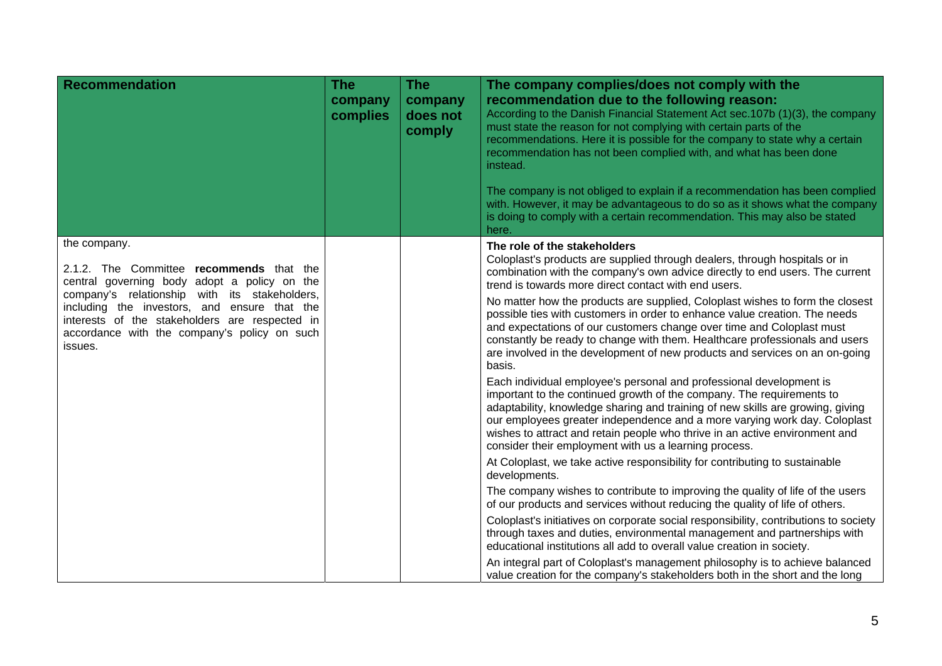| <b>Recommendation</b>                                                                                                                                                                                                                                                                                                  | The<br>company<br>complies | The<br>company<br>does not<br>comply | The company complies/does not comply with the<br>recommendation due to the following reason:<br>According to the Danish Financial Statement Act sec.107b (1)(3), the company<br>must state the reason for not complying with certain parts of the<br>recommendations. Here it is possible for the company to state why a certain<br>recommendation has not been complied with, and what has been done<br>instead.<br>The company is not obliged to explain if a recommendation has been complied<br>with. However, it may be advantageous to do so as it shows what the company<br>is doing to comply with a certain recommendation. This may also be stated<br>here. |
|------------------------------------------------------------------------------------------------------------------------------------------------------------------------------------------------------------------------------------------------------------------------------------------------------------------------|----------------------------|--------------------------------------|-----------------------------------------------------------------------------------------------------------------------------------------------------------------------------------------------------------------------------------------------------------------------------------------------------------------------------------------------------------------------------------------------------------------------------------------------------------------------------------------------------------------------------------------------------------------------------------------------------------------------------------------------------------------------|
| the company.<br>2.1.2. The Committee recommends that the<br>central governing body adopt a policy on the<br>company's relationship with its stakeholders,<br>including the investors, and ensure that the<br>interests of the stakeholders are respected in<br>accordance with the company's policy on such<br>issues. |                            |                                      | The role of the stakeholders<br>Coloplast's products are supplied through dealers, through hospitals or in<br>combination with the company's own advice directly to end users. The current<br>trend is towards more direct contact with end users.                                                                                                                                                                                                                                                                                                                                                                                                                    |
|                                                                                                                                                                                                                                                                                                                        |                            |                                      | No matter how the products are supplied, Coloplast wishes to form the closest<br>possible ties with customers in order to enhance value creation. The needs<br>and expectations of our customers change over time and Coloplast must<br>constantly be ready to change with them. Healthcare professionals and users<br>are involved in the development of new products and services on an on-going<br>basis.                                                                                                                                                                                                                                                          |
|                                                                                                                                                                                                                                                                                                                        |                            |                                      | Each individual employee's personal and professional development is<br>important to the continued growth of the company. The requirements to<br>adaptability, knowledge sharing and training of new skills are growing, giving<br>our employees greater independence and a more varying work day. Coloplast<br>wishes to attract and retain people who thrive in an active environment and<br>consider their employment with us a learning process.                                                                                                                                                                                                                   |
|                                                                                                                                                                                                                                                                                                                        |                            |                                      | At Coloplast, we take active responsibility for contributing to sustainable<br>developments.                                                                                                                                                                                                                                                                                                                                                                                                                                                                                                                                                                          |
|                                                                                                                                                                                                                                                                                                                        |                            |                                      | The company wishes to contribute to improving the quality of life of the users<br>of our products and services without reducing the quality of life of others.                                                                                                                                                                                                                                                                                                                                                                                                                                                                                                        |
|                                                                                                                                                                                                                                                                                                                        |                            |                                      | Coloplast's initiatives on corporate social responsibility, contributions to society<br>through taxes and duties, environmental management and partnerships with<br>educational institutions all add to overall value creation in society.                                                                                                                                                                                                                                                                                                                                                                                                                            |
|                                                                                                                                                                                                                                                                                                                        |                            |                                      | An integral part of Coloplast's management philosophy is to achieve balanced<br>value creation for the company's stakeholders both in the short and the long                                                                                                                                                                                                                                                                                                                                                                                                                                                                                                          |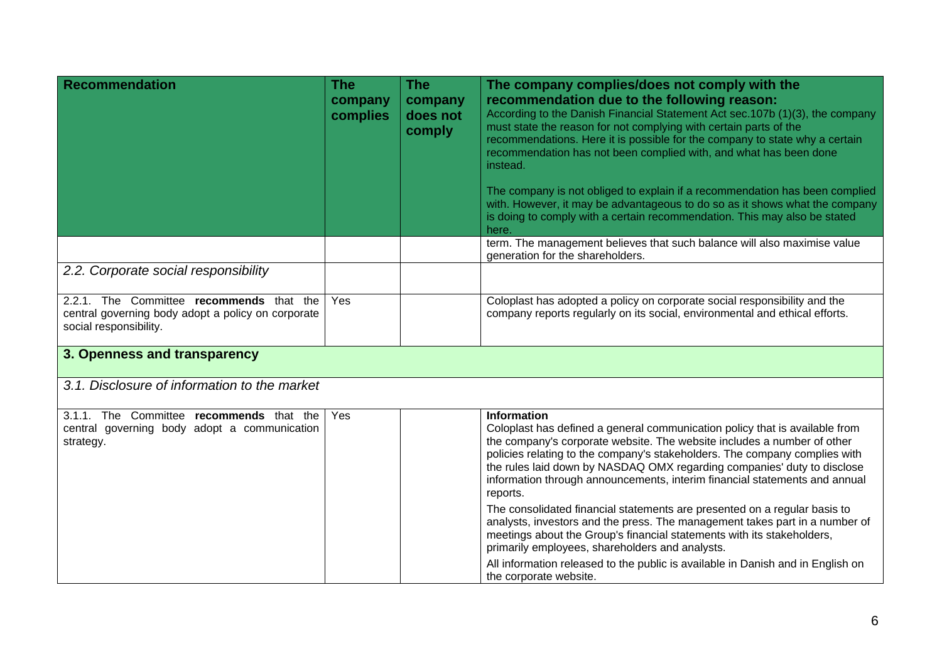| <b>Recommendation</b>                                                                                                    | <b>The</b><br>company<br>complies | <b>The</b><br>company<br>does not<br>comply | The company complies/does not comply with the<br>recommendation due to the following reason:<br>According to the Danish Financial Statement Act sec.107b (1)(3), the company<br>must state the reason for not complying with certain parts of the<br>recommendations. Here it is possible for the company to state why a certain<br>recommendation has not been complied with, and what has been done<br>instead.<br>The company is not obliged to explain if a recommendation has been complied<br>with. However, it may be advantageous to do so as it shows what the company<br>is doing to comply with a certain recommendation. This may also be stated<br>here.                                                                                                                                                                 |
|--------------------------------------------------------------------------------------------------------------------------|-----------------------------------|---------------------------------------------|---------------------------------------------------------------------------------------------------------------------------------------------------------------------------------------------------------------------------------------------------------------------------------------------------------------------------------------------------------------------------------------------------------------------------------------------------------------------------------------------------------------------------------------------------------------------------------------------------------------------------------------------------------------------------------------------------------------------------------------------------------------------------------------------------------------------------------------|
|                                                                                                                          |                                   |                                             | term. The management believes that such balance will also maximise value<br>generation for the shareholders.                                                                                                                                                                                                                                                                                                                                                                                                                                                                                                                                                                                                                                                                                                                          |
| 2.2. Corporate social responsibility                                                                                     |                                   |                                             |                                                                                                                                                                                                                                                                                                                                                                                                                                                                                                                                                                                                                                                                                                                                                                                                                                       |
| 2.2.1. The Committee recommends that the<br>central governing body adopt a policy on corporate<br>social responsibility. | Yes                               |                                             | Coloplast has adopted a policy on corporate social responsibility and the<br>company reports regularly on its social, environmental and ethical efforts.                                                                                                                                                                                                                                                                                                                                                                                                                                                                                                                                                                                                                                                                              |
| 3. Openness and transparency                                                                                             |                                   |                                             |                                                                                                                                                                                                                                                                                                                                                                                                                                                                                                                                                                                                                                                                                                                                                                                                                                       |
| 3.1. Disclosure of information to the market                                                                             |                                   |                                             |                                                                                                                                                                                                                                                                                                                                                                                                                                                                                                                                                                                                                                                                                                                                                                                                                                       |
| 3.1.1. The Committee recommends that the<br>central governing body adopt a communication<br>strategy.                    | Yes                               |                                             | <b>Information</b><br>Coloplast has defined a general communication policy that is available from<br>the company's corporate website. The website includes a number of other<br>policies relating to the company's stakeholders. The company complies with<br>the rules laid down by NASDAQ OMX regarding companies' duty to disclose<br>information through announcements, interim financial statements and annual<br>reports.<br>The consolidated financial statements are presented on a regular basis to<br>analysts, investors and the press. The management takes part in a number of<br>meetings about the Group's financial statements with its stakeholders,<br>primarily employees, shareholders and analysts.<br>All information released to the public is available in Danish and in English on<br>the corporate website. |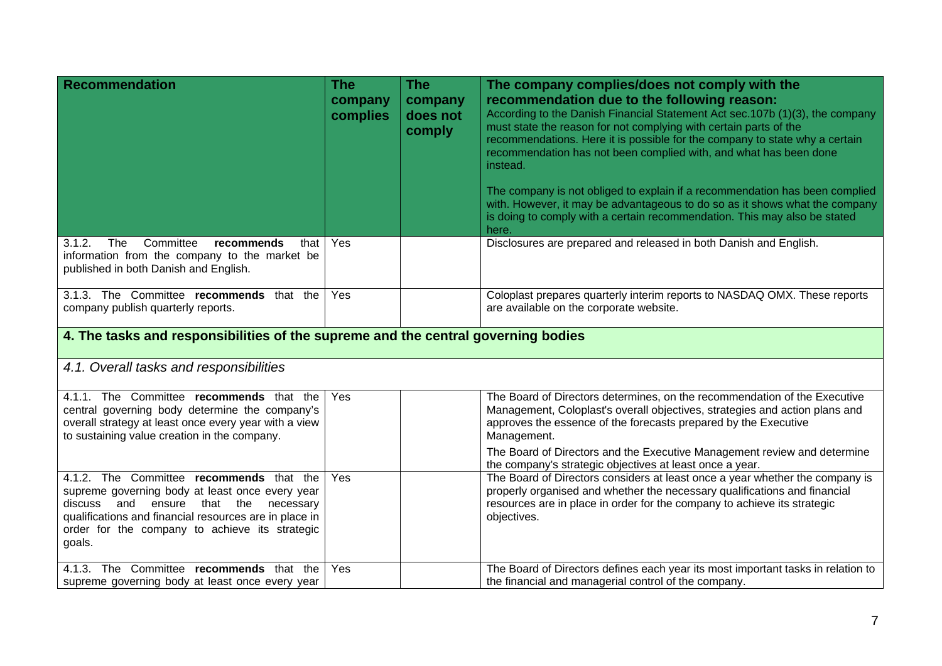| <b>Recommendation</b>                                                                                                                                                                                                                                         | <b>The</b><br>company<br>complies | <b>The</b><br>company<br>does not<br>comply | The company complies/does not comply with the<br>recommendation due to the following reason:<br>According to the Danish Financial Statement Act sec.107b (1)(3), the company<br>must state the reason for not complying with certain parts of the<br>recommendations. Here it is possible for the company to state why a certain<br>recommendation has not been complied with, and what has been done<br>instead.<br>The company is not obliged to explain if a recommendation has been complied<br>with. However, it may be advantageous to do so as it shows what the company<br>is doing to comply with a certain recommendation. This may also be stated<br>here. |  |  |  |
|---------------------------------------------------------------------------------------------------------------------------------------------------------------------------------------------------------------------------------------------------------------|-----------------------------------|---------------------------------------------|-----------------------------------------------------------------------------------------------------------------------------------------------------------------------------------------------------------------------------------------------------------------------------------------------------------------------------------------------------------------------------------------------------------------------------------------------------------------------------------------------------------------------------------------------------------------------------------------------------------------------------------------------------------------------|--|--|--|
| 3.1.2.<br>The<br>Committee<br>recommends<br>that<br>information from the company to the market be<br>published in both Danish and English.                                                                                                                    | Yes                               |                                             | Disclosures are prepared and released in both Danish and English.                                                                                                                                                                                                                                                                                                                                                                                                                                                                                                                                                                                                     |  |  |  |
| 3.1.3. The Committee recommends that the<br>company publish quarterly reports.                                                                                                                                                                                | Yes                               |                                             | Coloplast prepares quarterly interim reports to NASDAQ OMX. These reports<br>are available on the corporate website.                                                                                                                                                                                                                                                                                                                                                                                                                                                                                                                                                  |  |  |  |
| 4. The tasks and responsibilities of the supreme and the central governing bodies                                                                                                                                                                             |                                   |                                             |                                                                                                                                                                                                                                                                                                                                                                                                                                                                                                                                                                                                                                                                       |  |  |  |
| 4.1. Overall tasks and responsibilities                                                                                                                                                                                                                       |                                   |                                             |                                                                                                                                                                                                                                                                                                                                                                                                                                                                                                                                                                                                                                                                       |  |  |  |
| 4.1.1. The Committee recommends that the<br>central governing body determine the company's<br>overall strategy at least once every year with a view<br>to sustaining value creation in the company.                                                           | Yes                               |                                             | The Board of Directors determines, on the recommendation of the Executive<br>Management, Coloplast's overall objectives, strategies and action plans and<br>approves the essence of the forecasts prepared by the Executive<br>Management.                                                                                                                                                                                                                                                                                                                                                                                                                            |  |  |  |
|                                                                                                                                                                                                                                                               |                                   |                                             | The Board of Directors and the Executive Management review and determine<br>the company's strategic objectives at least once a year.                                                                                                                                                                                                                                                                                                                                                                                                                                                                                                                                  |  |  |  |
| 4.1.2. The Committee recommends that the<br>supreme governing body at least once every year<br>discuss and ensure<br>that the necessary<br>qualifications and financial resources are in place in<br>order for the company to achieve its strategic<br>goals. | Yes                               |                                             | The Board of Directors considers at least once a year whether the company is<br>properly organised and whether the necessary qualifications and financial<br>resources are in place in order for the company to achieve its strategic<br>objectives.                                                                                                                                                                                                                                                                                                                                                                                                                  |  |  |  |
| 4.1.3. The Committee recommends that the<br>supreme governing body at least once every year                                                                                                                                                                   | Yes                               |                                             | The Board of Directors defines each year its most important tasks in relation to<br>the financial and managerial control of the company.                                                                                                                                                                                                                                                                                                                                                                                                                                                                                                                              |  |  |  |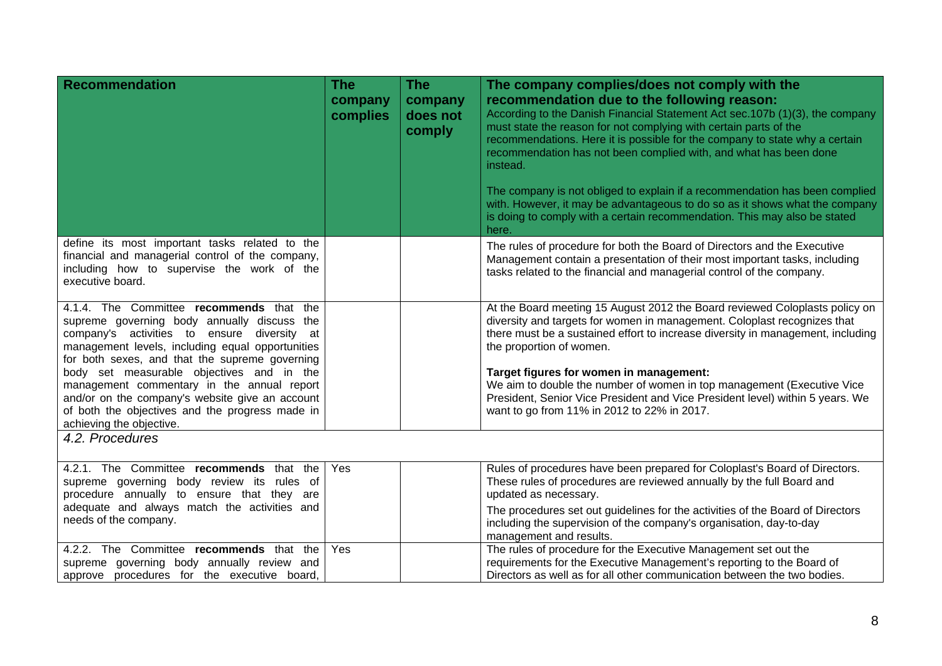| <b>Recommendation</b>                                                                                                                                                                                                                                                                                                                                                                                                                                                        | <b>The</b><br>company<br>complies | <b>The</b><br>company<br>does not<br>comply | The company complies/does not comply with the<br>recommendation due to the following reason:<br>According to the Danish Financial Statement Act sec.107b (1)(3), the company<br>must state the reason for not complying with certain parts of the<br>recommendations. Here it is possible for the company to state why a certain<br>recommendation has not been complied with, and what has been done<br>instead.<br>The company is not obliged to explain if a recommendation has been complied<br>with. However, it may be advantageous to do so as it shows what the company<br>is doing to comply with a certain recommendation. This may also be stated<br>here. |
|------------------------------------------------------------------------------------------------------------------------------------------------------------------------------------------------------------------------------------------------------------------------------------------------------------------------------------------------------------------------------------------------------------------------------------------------------------------------------|-----------------------------------|---------------------------------------------|-----------------------------------------------------------------------------------------------------------------------------------------------------------------------------------------------------------------------------------------------------------------------------------------------------------------------------------------------------------------------------------------------------------------------------------------------------------------------------------------------------------------------------------------------------------------------------------------------------------------------------------------------------------------------|
| define its most important tasks related to the<br>financial and managerial control of the company,<br>including how to supervise the work of the<br>executive board.                                                                                                                                                                                                                                                                                                         |                                   |                                             | The rules of procedure for both the Board of Directors and the Executive<br>Management contain a presentation of their most important tasks, including<br>tasks related to the financial and managerial control of the company.                                                                                                                                                                                                                                                                                                                                                                                                                                       |
| 4.1.4. The Committee recommends that the<br>supreme governing body annually discuss the<br>company's activities to ensure<br>diversity at<br>management levels, including equal opportunities<br>for both sexes, and that the supreme governing<br>body set measurable objectives and in the<br>management commentary in the annual report<br>and/or on the company's website give an account<br>of both the objectives and the progress made in<br>achieving the objective. |                                   |                                             | At the Board meeting 15 August 2012 the Board reviewed Coloplasts policy on<br>diversity and targets for women in management. Coloplast recognizes that<br>there must be a sustained effort to increase diversity in management, including<br>the proportion of women.<br>Target figures for women in management:<br>We aim to double the number of women in top management (Executive Vice<br>President, Senior Vice President and Vice President level) within 5 years. We<br>want to go from 11% in 2012 to 22% in 2017.                                                                                                                                           |
| 4.2. Procedures                                                                                                                                                                                                                                                                                                                                                                                                                                                              |                                   |                                             |                                                                                                                                                                                                                                                                                                                                                                                                                                                                                                                                                                                                                                                                       |
| 4.2.1. The Committee recommends that the<br>supreme governing body review its rules of<br>procedure annually to ensure that they are<br>adequate and always match the activities and<br>needs of the company.                                                                                                                                                                                                                                                                | Yes                               |                                             | Rules of procedures have been prepared for Coloplast's Board of Directors.<br>These rules of procedures are reviewed annually by the full Board and<br>updated as necessary.<br>The procedures set out guidelines for the activities of the Board of Directors<br>including the supervision of the company's organisation, day-to-day<br>management and results.                                                                                                                                                                                                                                                                                                      |
| 4.2.2. The Committee recommends that the<br>supreme governing body annually review and<br>approve procedures for the executive board,                                                                                                                                                                                                                                                                                                                                        | Yes                               |                                             | The rules of procedure for the Executive Management set out the<br>requirements for the Executive Management's reporting to the Board of<br>Directors as well as for all other communication between the two bodies.                                                                                                                                                                                                                                                                                                                                                                                                                                                  |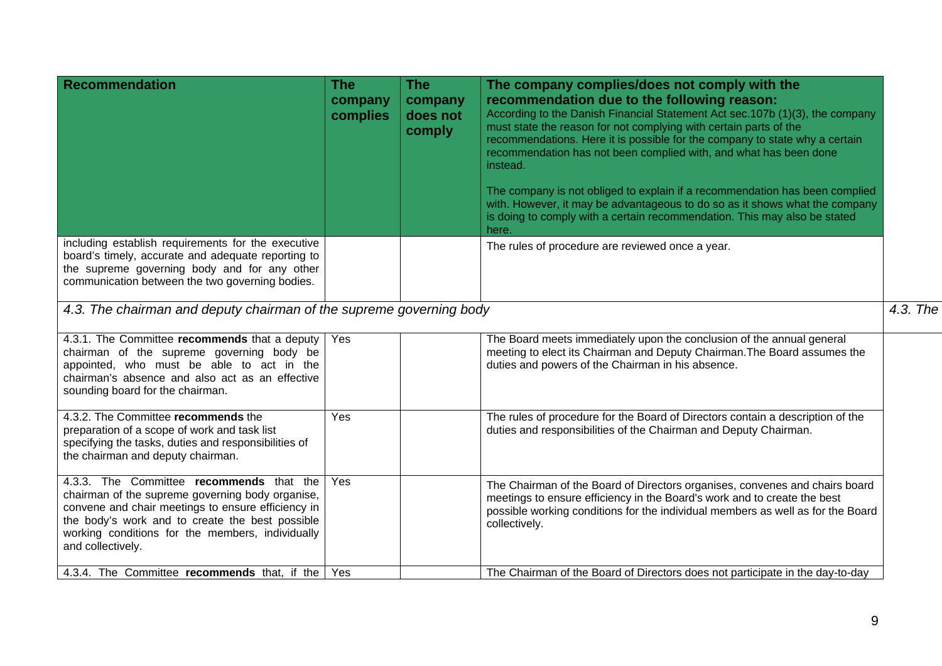| <b>Recommendation</b>                                                                                                                                                                                                                                                          | <b>The</b><br>company<br>complies | <b>The</b><br>company<br>does not<br>comply | The company complies/does not comply with the<br>recommendation due to the following reason:<br>According to the Danish Financial Statement Act sec.107b (1)(3), the company<br>must state the reason for not complying with certain parts of the<br>recommendations. Here it is possible for the company to state why a certain<br>recommendation has not been complied with, and what has been done<br>instead.<br>The company is not obliged to explain if a recommendation has been complied<br>with. However, it may be advantageous to do so as it shows what the company<br>is doing to comply with a certain recommendation. This may also be stated<br>here. |          |
|--------------------------------------------------------------------------------------------------------------------------------------------------------------------------------------------------------------------------------------------------------------------------------|-----------------------------------|---------------------------------------------|-----------------------------------------------------------------------------------------------------------------------------------------------------------------------------------------------------------------------------------------------------------------------------------------------------------------------------------------------------------------------------------------------------------------------------------------------------------------------------------------------------------------------------------------------------------------------------------------------------------------------------------------------------------------------|----------|
| including establish requirements for the executive<br>board's timely, accurate and adequate reporting to<br>the supreme governing body and for any other<br>communication between the two governing bodies.                                                                    |                                   |                                             | The rules of procedure are reviewed once a year.                                                                                                                                                                                                                                                                                                                                                                                                                                                                                                                                                                                                                      |          |
| 4.3. The chairman and deputy chairman of the supreme governing body                                                                                                                                                                                                            |                                   |                                             |                                                                                                                                                                                                                                                                                                                                                                                                                                                                                                                                                                                                                                                                       | 4.3. The |
| 4.3.1. The Committee recommends that a deputy<br>chairman of the supreme governing body be<br>appointed, who must be able to act in the<br>chairman's absence and also act as an effective<br>sounding board for the chairman.                                                 | Yes                               |                                             | The Board meets immediately upon the conclusion of the annual general<br>meeting to elect its Chairman and Deputy Chairman. The Board assumes the<br>duties and powers of the Chairman in his absence.                                                                                                                                                                                                                                                                                                                                                                                                                                                                |          |
| 4.3.2. The Committee recommends the<br>preparation of a scope of work and task list<br>specifying the tasks, duties and responsibilities of<br>the chairman and deputy chairman.                                                                                               | Yes                               |                                             | The rules of procedure for the Board of Directors contain a description of the<br>duties and responsibilities of the Chairman and Deputy Chairman.                                                                                                                                                                                                                                                                                                                                                                                                                                                                                                                    |          |
| 4.3.3. The Committee recommends that the<br>chairman of the supreme governing body organise,<br>convene and chair meetings to ensure efficiency in<br>the body's work and to create the best possible<br>working conditions for the members, individually<br>and collectively. | Yes                               |                                             | The Chairman of the Board of Directors organises, convenes and chairs board<br>meetings to ensure efficiency in the Board's work and to create the best<br>possible working conditions for the individual members as well as for the Board<br>collectively.                                                                                                                                                                                                                                                                                                                                                                                                           |          |
| 4.3.4. The Committee recommends that, if the                                                                                                                                                                                                                                   | Yes                               |                                             | The Chairman of the Board of Directors does not participate in the day-to-day                                                                                                                                                                                                                                                                                                                                                                                                                                                                                                                                                                                         |          |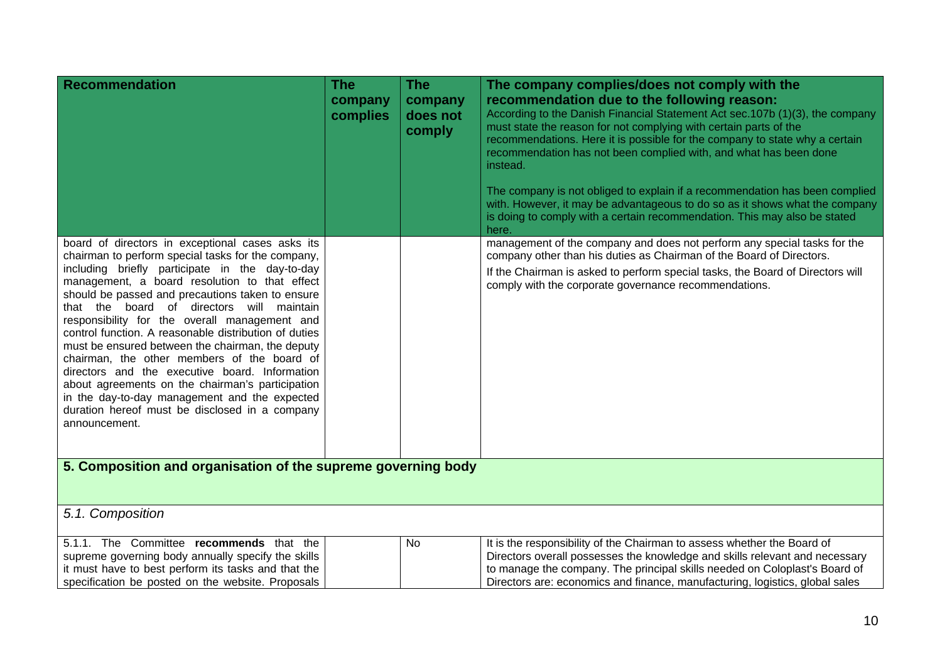| <b>Recommendation</b>                                                                                                                                                                                                                                                                                                                                                                                                                                                                                                                                                                                                                                                                                                                              | <b>The</b><br>company<br>complies | <b>The</b><br>company<br>does not<br>comply | The company complies/does not comply with the<br>recommendation due to the following reason:<br>According to the Danish Financial Statement Act sec.107b (1)(3), the company<br>must state the reason for not complying with certain parts of the<br>recommendations. Here it is possible for the company to state why a certain<br>recommendation has not been complied with, and what has been done<br>instead.<br>The company is not obliged to explain if a recommendation has been complied<br>with. However, it may be advantageous to do so as it shows what the company<br>is doing to comply with a certain recommendation. This may also be stated<br>here. |
|----------------------------------------------------------------------------------------------------------------------------------------------------------------------------------------------------------------------------------------------------------------------------------------------------------------------------------------------------------------------------------------------------------------------------------------------------------------------------------------------------------------------------------------------------------------------------------------------------------------------------------------------------------------------------------------------------------------------------------------------------|-----------------------------------|---------------------------------------------|-----------------------------------------------------------------------------------------------------------------------------------------------------------------------------------------------------------------------------------------------------------------------------------------------------------------------------------------------------------------------------------------------------------------------------------------------------------------------------------------------------------------------------------------------------------------------------------------------------------------------------------------------------------------------|
| board of directors in exceptional cases asks its<br>chairman to perform special tasks for the company,<br>including briefly participate in the day-to-day<br>management, a board resolution to that effect<br>should be passed and precautions taken to ensure<br>that the board of directors will maintain<br>responsibility for the overall management and<br>control function. A reasonable distribution of duties<br>must be ensured between the chairman, the deputy<br>chairman, the other members of the board of<br>directors and the executive board. Information<br>about agreements on the chairman's participation<br>in the day-to-day management and the expected<br>duration hereof must be disclosed in a company<br>announcement. |                                   |                                             | management of the company and does not perform any special tasks for the<br>company other than his duties as Chairman of the Board of Directors.<br>If the Chairman is asked to perform special tasks, the Board of Directors will<br>comply with the corporate governance recommendations.                                                                                                                                                                                                                                                                                                                                                                           |
| 5. Composition and organisation of the supreme governing body                                                                                                                                                                                                                                                                                                                                                                                                                                                                                                                                                                                                                                                                                      |                                   |                                             |                                                                                                                                                                                                                                                                                                                                                                                                                                                                                                                                                                                                                                                                       |
| 5.1. Composition                                                                                                                                                                                                                                                                                                                                                                                                                                                                                                                                                                                                                                                                                                                                   |                                   |                                             |                                                                                                                                                                                                                                                                                                                                                                                                                                                                                                                                                                                                                                                                       |
| 5.1.1. The Committee recommends that the<br>supreme governing body annually specify the skills<br>it must have to best perform its tasks and that the<br>specification be posted on the website. Proposals                                                                                                                                                                                                                                                                                                                                                                                                                                                                                                                                         |                                   | No                                          | It is the responsibility of the Chairman to assess whether the Board of<br>Directors overall possesses the knowledge and skills relevant and necessary<br>to manage the company. The principal skills needed on Coloplast's Board of<br>Directors are: economics and finance, manufacturing, logistics, global sales                                                                                                                                                                                                                                                                                                                                                  |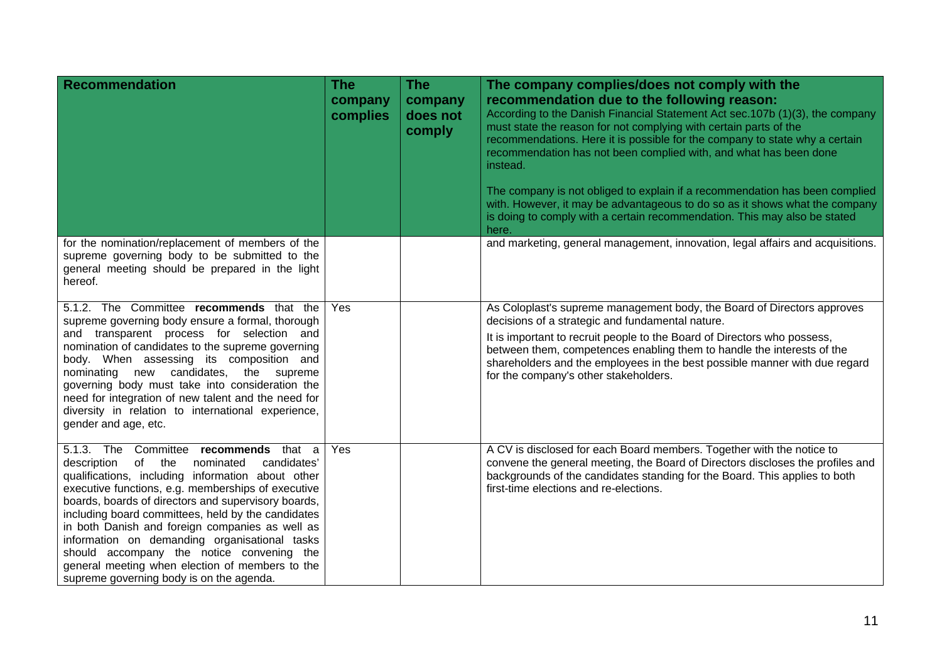| <b>Recommendation</b>                                                                                                                                                                                                                                                                                                                                                                                                                                                                                                                                               | <b>The</b><br>company<br>complies | <b>The</b><br>company<br>does not<br>comply | The company complies/does not comply with the<br>recommendation due to the following reason:<br>According to the Danish Financial Statement Act sec. 107b (1)(3), the company<br>must state the reason for not complying with certain parts of the<br>recommendations. Here it is possible for the company to state why a certain<br>recommendation has not been complied with, and what has been done<br>instead.<br>The company is not obliged to explain if a recommendation has been complied<br>with. However, it may be advantageous to do so as it shows what the company<br>is doing to comply with a certain recommendation. This may also be stated<br>here. |
|---------------------------------------------------------------------------------------------------------------------------------------------------------------------------------------------------------------------------------------------------------------------------------------------------------------------------------------------------------------------------------------------------------------------------------------------------------------------------------------------------------------------------------------------------------------------|-----------------------------------|---------------------------------------------|------------------------------------------------------------------------------------------------------------------------------------------------------------------------------------------------------------------------------------------------------------------------------------------------------------------------------------------------------------------------------------------------------------------------------------------------------------------------------------------------------------------------------------------------------------------------------------------------------------------------------------------------------------------------|
| for the nomination/replacement of members of the<br>supreme governing body to be submitted to the<br>general meeting should be prepared in the light<br>hereof.                                                                                                                                                                                                                                                                                                                                                                                                     |                                   |                                             | and marketing, general management, innovation, legal affairs and acquisitions.                                                                                                                                                                                                                                                                                                                                                                                                                                                                                                                                                                                         |
| 5.1.2. The Committee recommends that the<br>supreme governing body ensure a formal, thorough<br>and transparent process for selection and<br>nomination of candidates to the supreme governing<br>body. When assessing its composition and<br>nominating new candidates, the supreme<br>governing body must take into consideration the<br>need for integration of new talent and the need for<br>diversity in relation to international experience,<br>gender and age, etc.                                                                                        | Yes                               |                                             | As Coloplast's supreme management body, the Board of Directors approves<br>decisions of a strategic and fundamental nature.<br>It is important to recruit people to the Board of Directors who possess,<br>between them, competences enabling them to handle the interests of the<br>shareholders and the employees in the best possible manner with due regard<br>for the company's other stakeholders.                                                                                                                                                                                                                                                               |
| 5.1.3. The Committee recommends that a<br>of the<br>description<br>nominated<br>candidates'<br>qualifications, including information about other<br>executive functions, e.g. memberships of executive<br>boards, boards of directors and supervisory boards,<br>including board committees, held by the candidates<br>in both Danish and foreign companies as well as<br>information on demanding organisational tasks<br>should accompany the notice convening the<br>general meeting when election of members to the<br>supreme governing body is on the agenda. | Yes                               |                                             | A CV is disclosed for each Board members. Together with the notice to<br>convene the general meeting, the Board of Directors discloses the profiles and<br>backgrounds of the candidates standing for the Board. This applies to both<br>first-time elections and re-elections.                                                                                                                                                                                                                                                                                                                                                                                        |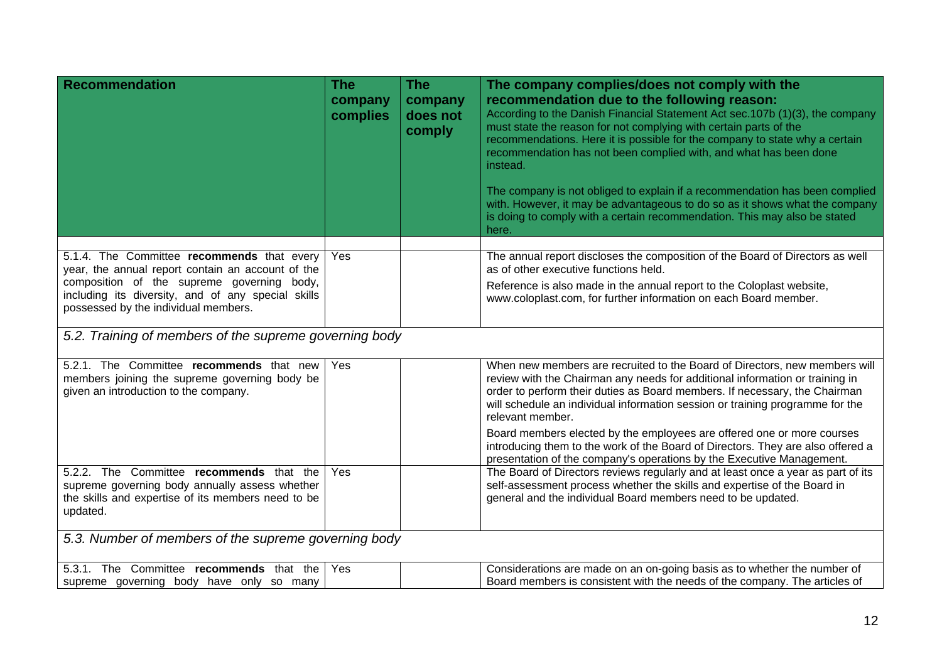| Recommendation                                                                                                                                                                                                                              | <b>The</b><br>company<br>complies | The<br>company<br>does not<br>comply | The company complies/does not comply with the<br>recommendation due to the following reason:<br>According to the Danish Financial Statement Act sec.107b (1)(3), the company<br>must state the reason for not complying with certain parts of the<br>recommendations. Here it is possible for the company to state why a certain<br>recommendation has not been complied with, and what has been done<br>instead.<br>The company is not obliged to explain if a recommendation has been complied<br>with. However, it may be advantageous to do so as it shows what the company<br>is doing to comply with a certain recommendation. This may also be stated<br>here. |
|---------------------------------------------------------------------------------------------------------------------------------------------------------------------------------------------------------------------------------------------|-----------------------------------|--------------------------------------|-----------------------------------------------------------------------------------------------------------------------------------------------------------------------------------------------------------------------------------------------------------------------------------------------------------------------------------------------------------------------------------------------------------------------------------------------------------------------------------------------------------------------------------------------------------------------------------------------------------------------------------------------------------------------|
| 5.1.4. The Committee recommends that every<br>year, the annual report contain an account of the<br>composition of the supreme governing body,<br>including its diversity, and of any special skills<br>possessed by the individual members. | Yes                               |                                      | The annual report discloses the composition of the Board of Directors as well<br>as of other executive functions held.<br>Reference is also made in the annual report to the Coloplast website,<br>www.coloplast.com, for further information on each Board member.                                                                                                                                                                                                                                                                                                                                                                                                   |
| 5.2. Training of members of the supreme governing body                                                                                                                                                                                      |                                   |                                      |                                                                                                                                                                                                                                                                                                                                                                                                                                                                                                                                                                                                                                                                       |
| 5.2.1. The Committee recommends that new<br>members joining the supreme governing body be<br>given an introduction to the company.                                                                                                          | Yes                               |                                      | When new members are recruited to the Board of Directors, new members will<br>review with the Chairman any needs for additional information or training in<br>order to perform their duties as Board members. If necessary, the Chairman<br>will schedule an individual information session or training programme for the<br>relevant member.<br>Board members elected by the employees are offered one or more courses                                                                                                                                                                                                                                               |
|                                                                                                                                                                                                                                             |                                   |                                      | introducing them to the work of the Board of Directors. They are also offered a<br>presentation of the company's operations by the Executive Management.                                                                                                                                                                                                                                                                                                                                                                                                                                                                                                              |
| 5.2.2. The Committee recommends that the<br>supreme governing body annually assess whether<br>the skills and expertise of its members need to be<br>updated.                                                                                | Yes                               |                                      | The Board of Directors reviews regularly and at least once a year as part of its<br>self-assessment process whether the skills and expertise of the Board in<br>general and the individual Board members need to be updated.                                                                                                                                                                                                                                                                                                                                                                                                                                          |
| 5.3. Number of members of the supreme governing body                                                                                                                                                                                        |                                   |                                      |                                                                                                                                                                                                                                                                                                                                                                                                                                                                                                                                                                                                                                                                       |
| 5.3.1. The Committee recommends that the<br>supreme governing body have only so many                                                                                                                                                        | Yes                               |                                      | Considerations are made on an on-going basis as to whether the number of<br>Board members is consistent with the needs of the company. The articles of                                                                                                                                                                                                                                                                                                                                                                                                                                                                                                                |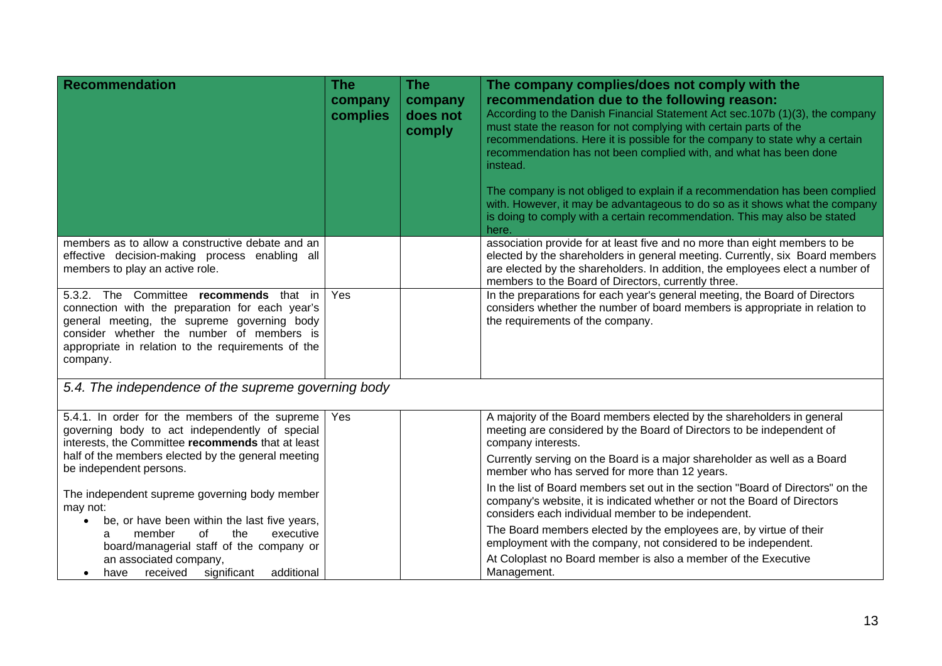| Recommendation                                                                                                                                                                                                                                           | <b>The</b><br>company<br>complies | <b>The</b><br>company<br>does not<br>comply | The company complies/does not comply with the<br>recommendation due to the following reason:<br>According to the Danish Financial Statement Act sec. 107b (1)(3), the company<br>must state the reason for not complying with certain parts of the<br>recommendations. Here it is possible for the company to state why a certain<br>recommendation has not been complied with, and what has been done<br>instead.<br>The company is not obliged to explain if a recommendation has been complied<br>with. However, it may be advantageous to do so as it shows what the company<br>is doing to comply with a certain recommendation. This may also be stated<br>here. |
|----------------------------------------------------------------------------------------------------------------------------------------------------------------------------------------------------------------------------------------------------------|-----------------------------------|---------------------------------------------|------------------------------------------------------------------------------------------------------------------------------------------------------------------------------------------------------------------------------------------------------------------------------------------------------------------------------------------------------------------------------------------------------------------------------------------------------------------------------------------------------------------------------------------------------------------------------------------------------------------------------------------------------------------------|
| members as to allow a constructive debate and an<br>effective decision-making process enabling all<br>members to play an active role.                                                                                                                    |                                   |                                             | association provide for at least five and no more than eight members to be<br>elected by the shareholders in general meeting. Currently, six Board members<br>are elected by the shareholders. In addition, the employees elect a number of<br>members to the Board of Directors, currently three.                                                                                                                                                                                                                                                                                                                                                                     |
| 5.3.2. The Committee recommends that in<br>connection with the preparation for each year's<br>general meeting, the supreme governing body<br>consider whether the number of members is<br>appropriate in relation to the requirements of the<br>company. | Yes                               |                                             | In the preparations for each year's general meeting, the Board of Directors<br>considers whether the number of board members is appropriate in relation to<br>the requirements of the company.                                                                                                                                                                                                                                                                                                                                                                                                                                                                         |
| 5.4. The independence of the supreme governing body                                                                                                                                                                                                      |                                   |                                             |                                                                                                                                                                                                                                                                                                                                                                                                                                                                                                                                                                                                                                                                        |
| 5.4.1. In order for the members of the supreme<br>governing body to act independently of special<br>interests, the Committee recommends that at least<br>half of the members elected by the general meeting                                              | Yes                               |                                             | A majority of the Board members elected by the shareholders in general<br>meeting are considered by the Board of Directors to be independent of<br>company interests.                                                                                                                                                                                                                                                                                                                                                                                                                                                                                                  |
| be independent persons.                                                                                                                                                                                                                                  |                                   |                                             | Currently serving on the Board is a major shareholder as well as a Board<br>member who has served for more than 12 years.                                                                                                                                                                                                                                                                                                                                                                                                                                                                                                                                              |
| The independent supreme governing body member<br>may not:<br>be, or have been within the last five years,<br>٠                                                                                                                                           |                                   |                                             | In the list of Board members set out in the section "Board of Directors" on the<br>company's website, it is indicated whether or not the Board of Directors<br>considers each individual member to be independent.                                                                                                                                                                                                                                                                                                                                                                                                                                                     |
| member<br>0f<br>the<br>executive<br>a<br>board/managerial staff of the company or                                                                                                                                                                        |                                   |                                             | The Board members elected by the employees are, by virtue of their<br>employment with the company, not considered to be independent.                                                                                                                                                                                                                                                                                                                                                                                                                                                                                                                                   |
| an associated company,<br>additional<br>received<br>significant<br>have<br>$\bullet$                                                                                                                                                                     |                                   |                                             | At Coloplast no Board member is also a member of the Executive<br>Management.                                                                                                                                                                                                                                                                                                                                                                                                                                                                                                                                                                                          |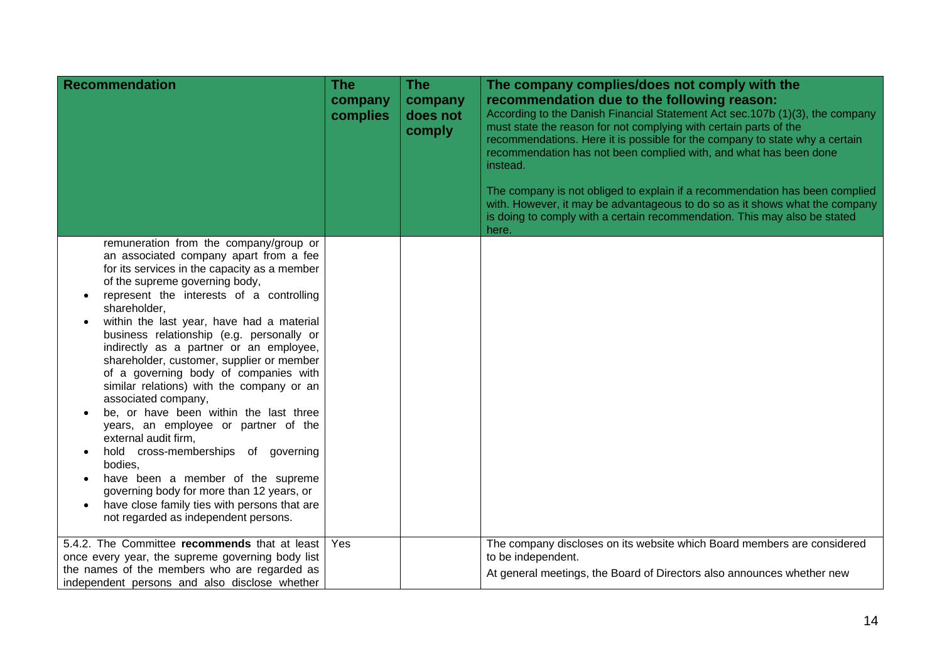| <b>Recommendation</b>                                                                                                                                                                                                                                                                                                                                                                                                                                                                                                                                                                                                                                                                                                                                                                                                                                               | <b>The</b><br>company<br>complies | <b>The</b><br>company<br>does not<br>comply | The company complies/does not comply with the<br>recommendation due to the following reason:<br>According to the Danish Financial Statement Act sec.107b (1)(3), the company<br>must state the reason for not complying with certain parts of the<br>recommendations. Here it is possible for the company to state why a certain<br>recommendation has not been complied with, and what has been done<br>instead.<br>The company is not obliged to explain if a recommendation has been complied<br>with. However, it may be advantageous to do so as it shows what the company<br>is doing to comply with a certain recommendation. This may also be stated |
|---------------------------------------------------------------------------------------------------------------------------------------------------------------------------------------------------------------------------------------------------------------------------------------------------------------------------------------------------------------------------------------------------------------------------------------------------------------------------------------------------------------------------------------------------------------------------------------------------------------------------------------------------------------------------------------------------------------------------------------------------------------------------------------------------------------------------------------------------------------------|-----------------------------------|---------------------------------------------|--------------------------------------------------------------------------------------------------------------------------------------------------------------------------------------------------------------------------------------------------------------------------------------------------------------------------------------------------------------------------------------------------------------------------------------------------------------------------------------------------------------------------------------------------------------------------------------------------------------------------------------------------------------|
| remuneration from the company/group or<br>an associated company apart from a fee<br>for its services in the capacity as a member<br>of the supreme governing body,<br>represent the interests of a controlling<br>shareholder,<br>within the last year, have had a material<br>business relationship (e.g. personally or<br>indirectly as a partner or an employee,<br>shareholder, customer, supplier or member<br>of a governing body of companies with<br>similar relations) with the company or an<br>associated company,<br>be, or have been within the last three<br>years, an employee or partner of the<br>external audit firm,<br>hold cross-memberships of governing<br>bodies,<br>have been a member of the supreme<br>governing body for more than 12 years, or<br>have close family ties with persons that are<br>not regarded as independent persons. |                                   |                                             | here.                                                                                                                                                                                                                                                                                                                                                                                                                                                                                                                                                                                                                                                        |
| 5.4.2. The Committee recommends that at least<br>once every year, the supreme governing body list<br>the names of the members who are regarded as<br>independent persons and also disclose whether                                                                                                                                                                                                                                                                                                                                                                                                                                                                                                                                                                                                                                                                  | Yes                               |                                             | The company discloses on its website which Board members are considered<br>to be independent.<br>At general meetings, the Board of Directors also announces whether new                                                                                                                                                                                                                                                                                                                                                                                                                                                                                      |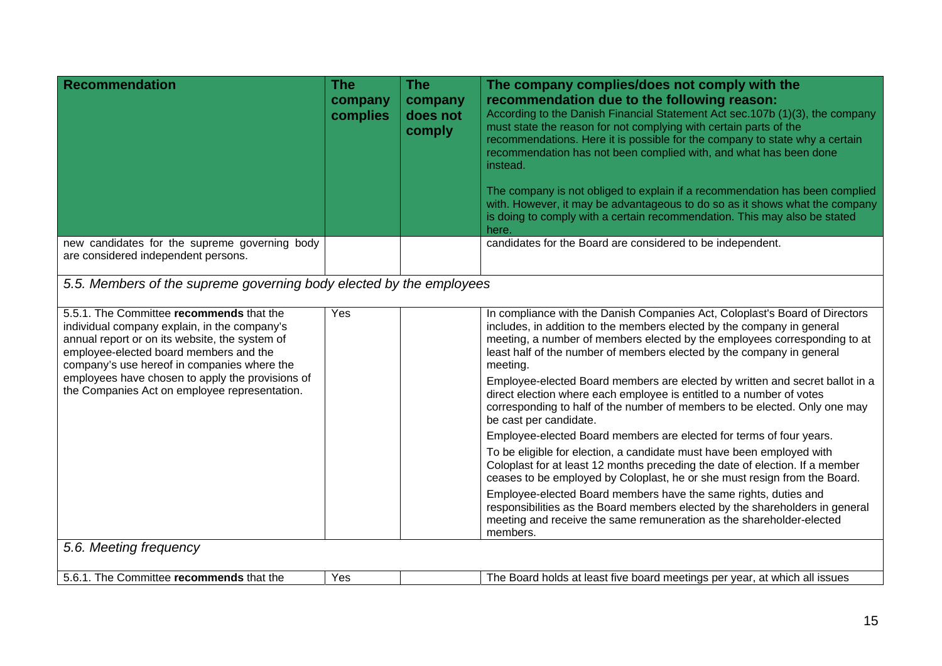| <b>Recommendation</b>                                                                                                                                                                                                                                                                                                                    | The<br>company<br>complies | <b>The</b><br>company<br>does not<br>comply | The company complies/does not comply with the<br>recommendation due to the following reason:<br>According to the Danish Financial Statement Act sec.107b (1)(3), the company<br>must state the reason for not complying with certain parts of the<br>recommendations. Here it is possible for the company to state why a certain<br>recommendation has not been complied with, and what has been done<br>instead.<br>The company is not obliged to explain if a recommendation has been complied<br>with. However, it may be advantageous to do so as it shows what the company<br>is doing to comply with a certain recommendation. This may also be stated<br>here.                                                                                                                                                                                                                                                                                                                                                                                                                                                                       |  |  |
|------------------------------------------------------------------------------------------------------------------------------------------------------------------------------------------------------------------------------------------------------------------------------------------------------------------------------------------|----------------------------|---------------------------------------------|---------------------------------------------------------------------------------------------------------------------------------------------------------------------------------------------------------------------------------------------------------------------------------------------------------------------------------------------------------------------------------------------------------------------------------------------------------------------------------------------------------------------------------------------------------------------------------------------------------------------------------------------------------------------------------------------------------------------------------------------------------------------------------------------------------------------------------------------------------------------------------------------------------------------------------------------------------------------------------------------------------------------------------------------------------------------------------------------------------------------------------------------|--|--|
| new candidates for the supreme governing body<br>are considered independent persons.                                                                                                                                                                                                                                                     |                            |                                             | candidates for the Board are considered to be independent.                                                                                                                                                                                                                                                                                                                                                                                                                                                                                                                                                                                                                                                                                                                                                                                                                                                                                                                                                                                                                                                                                  |  |  |
| 5.5. Members of the supreme governing body elected by the employees                                                                                                                                                                                                                                                                      |                            |                                             |                                                                                                                                                                                                                                                                                                                                                                                                                                                                                                                                                                                                                                                                                                                                                                                                                                                                                                                                                                                                                                                                                                                                             |  |  |
| 5.5.1. The Committee recommends that the<br>individual company explain, in the company's<br>annual report or on its website, the system of<br>employee-elected board members and the<br>company's use hereof in companies where the<br>employees have chosen to apply the provisions of<br>the Companies Act on employee representation. | Yes                        |                                             | In compliance with the Danish Companies Act, Coloplast's Board of Directors<br>includes, in addition to the members elected by the company in general<br>meeting, a number of members elected by the employees corresponding to at<br>least half of the number of members elected by the company in general<br>meeting.<br>Employee-elected Board members are elected by written and secret ballot in a<br>direct election where each employee is entitled to a number of votes<br>corresponding to half of the number of members to be elected. Only one may<br>be cast per candidate.<br>Employee-elected Board members are elected for terms of four years.<br>To be eligible for election, a candidate must have been employed with<br>Coloplast for at least 12 months preceding the date of election. If a member<br>ceases to be employed by Coloplast, he or she must resign from the Board.<br>Employee-elected Board members have the same rights, duties and<br>responsibilities as the Board members elected by the shareholders in general<br>meeting and receive the same remuneration as the shareholder-elected<br>members. |  |  |
| 5.6. Meeting frequency                                                                                                                                                                                                                                                                                                                   |                            |                                             |                                                                                                                                                                                                                                                                                                                                                                                                                                                                                                                                                                                                                                                                                                                                                                                                                                                                                                                                                                                                                                                                                                                                             |  |  |
| 5.6.1. The Committee recommends that the                                                                                                                                                                                                                                                                                                 | Yes                        |                                             | The Board holds at least five board meetings per year, at which all issues                                                                                                                                                                                                                                                                                                                                                                                                                                                                                                                                                                                                                                                                                                                                                                                                                                                                                                                                                                                                                                                                  |  |  |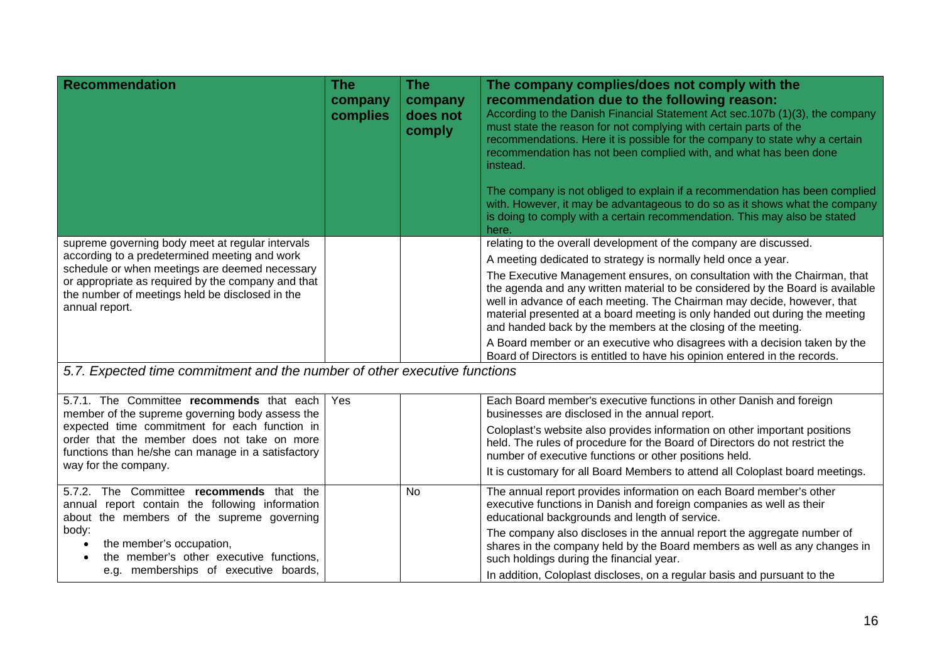| <b>Recommendation</b>                                                                                                                                                                                                                                                                                                                                                                                                                                                                                                             | <b>The</b><br>company<br>complies | <b>The</b><br>company<br>does not<br>comply | The company complies/does not comply with the<br>recommendation due to the following reason:<br>According to the Danish Financial Statement Act sec.107b (1)(3), the company<br>must state the reason for not complying with certain parts of the<br>recommendations. Here it is possible for the company to state why a certain<br>recommendation has not been complied with, and what has been done<br>instead.<br>The company is not obliged to explain if a recommendation has been complied<br>with. However, it may be advantageous to do so as it shows what the company<br>is doing to comply with a certain recommendation. This may also be stated<br>here.                                                                                                                                                              |
|-----------------------------------------------------------------------------------------------------------------------------------------------------------------------------------------------------------------------------------------------------------------------------------------------------------------------------------------------------------------------------------------------------------------------------------------------------------------------------------------------------------------------------------|-----------------------------------|---------------------------------------------|------------------------------------------------------------------------------------------------------------------------------------------------------------------------------------------------------------------------------------------------------------------------------------------------------------------------------------------------------------------------------------------------------------------------------------------------------------------------------------------------------------------------------------------------------------------------------------------------------------------------------------------------------------------------------------------------------------------------------------------------------------------------------------------------------------------------------------|
| supreme governing body meet at regular intervals<br>according to a predetermined meeting and work<br>schedule or when meetings are deemed necessary<br>or appropriate as required by the company and that<br>the number of meetings held be disclosed in the<br>annual report.<br>5.7. Expected time commitment and the number of other executive functions                                                                                                                                                                       |                                   |                                             | relating to the overall development of the company are discussed.<br>A meeting dedicated to strategy is normally held once a year.<br>The Executive Management ensures, on consultation with the Chairman, that<br>the agenda and any written material to be considered by the Board is available<br>well in advance of each meeting. The Chairman may decide, however, that<br>material presented at a board meeting is only handed out during the meeting<br>and handed back by the members at the closing of the meeting.<br>A Board member or an executive who disagrees with a decision taken by the<br>Board of Directors is entitled to have his opinion entered in the records.                                                                                                                                            |
| 5.7.1. The Committee recommends that each<br>member of the supreme governing body assess the<br>expected time commitment for each function in<br>order that the member does not take on more<br>functions than he/she can manage in a satisfactory<br>way for the company.<br>5.7.2. The Committee recommends that the<br>annual report contain the following information<br>about the members of the supreme governing<br>body:<br>the member's occupation,<br>$\bullet$<br>the member's other executive functions,<br>$\bullet$ | Yes                               | <b>No</b>                                   | Each Board member's executive functions in other Danish and foreign<br>businesses are disclosed in the annual report.<br>Coloplast's website also provides information on other important positions<br>held. The rules of procedure for the Board of Directors do not restrict the<br>number of executive functions or other positions held.<br>It is customary for all Board Members to attend all Coloplast board meetings.<br>The annual report provides information on each Board member's other<br>executive functions in Danish and foreign companies as well as their<br>educational backgrounds and length of service.<br>The company also discloses in the annual report the aggregate number of<br>shares in the company held by the Board members as well as any changes in<br>such holdings during the financial year. |

In addition, Coloplast discloses, on a regular basis and pursuant to the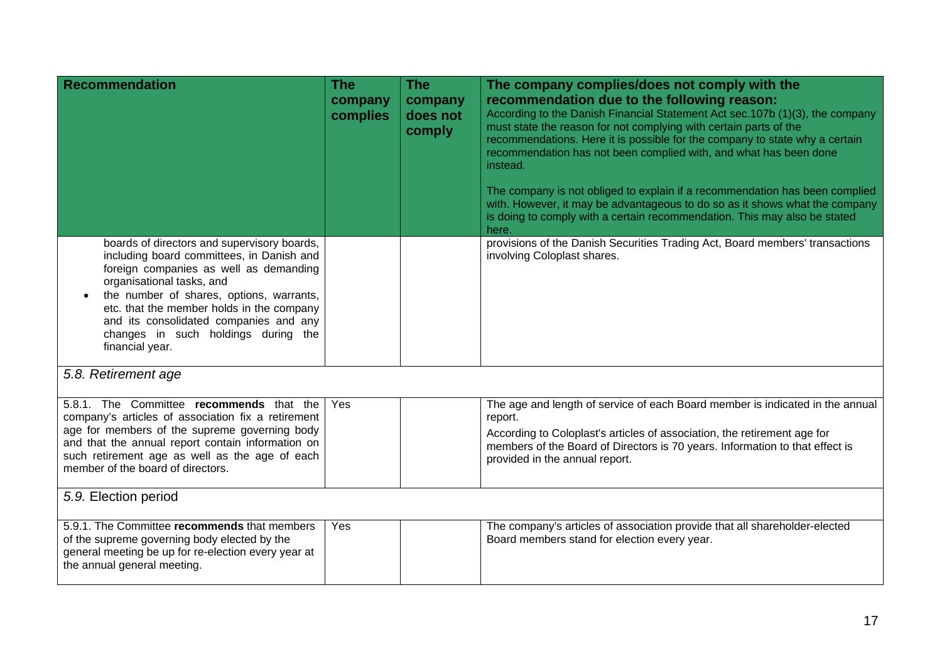| <b>Recommendation</b>                                                                                                                                                                                                                                                                                                                                        | <b>The</b><br>company<br>complies | <b>The</b><br>company<br>does not<br>comply | The company complies/does not comply with the<br>recommendation due to the following reason:<br>According to the Danish Financial Statement Act sec.107b (1)(3), the company<br>must state the reason for not complying with certain parts of the<br>recommendations. Here it is possible for the company to state why a certain<br>recommendation has not been complied with, and what has been done<br>instead.<br>The company is not obliged to explain if a recommendation has been complied<br>with. However, it may be advantageous to do so as it shows what the company<br>is doing to comply with a certain recommendation. This may also be stated<br>here. |
|--------------------------------------------------------------------------------------------------------------------------------------------------------------------------------------------------------------------------------------------------------------------------------------------------------------------------------------------------------------|-----------------------------------|---------------------------------------------|-----------------------------------------------------------------------------------------------------------------------------------------------------------------------------------------------------------------------------------------------------------------------------------------------------------------------------------------------------------------------------------------------------------------------------------------------------------------------------------------------------------------------------------------------------------------------------------------------------------------------------------------------------------------------|
| boards of directors and supervisory boards,<br>including board committees, in Danish and<br>foreign companies as well as demanding<br>organisational tasks, and<br>the number of shares, options, warrants,<br>etc. that the member holds in the company<br>and its consolidated companies and any<br>changes in such holdings during the<br>financial year. |                                   |                                             | provisions of the Danish Securities Trading Act, Board members' transactions<br>involving Coloplast shares.                                                                                                                                                                                                                                                                                                                                                                                                                                                                                                                                                           |
| 5.8. Retirement age                                                                                                                                                                                                                                                                                                                                          |                                   |                                             |                                                                                                                                                                                                                                                                                                                                                                                                                                                                                                                                                                                                                                                                       |
| 5.8.1. The Committee recommends that the<br>company's articles of association fix a retirement<br>age for members of the supreme governing body<br>and that the annual report contain information on<br>such retirement age as well as the age of each<br>member of the board of directors.                                                                  | Yes                               |                                             | The age and length of service of each Board member is indicated in the annual<br>report.<br>According to Coloplast's articles of association, the retirement age for<br>members of the Board of Directors is 70 years. Information to that effect is<br>provided in the annual report.                                                                                                                                                                                                                                                                                                                                                                                |
| 5.9. Election period                                                                                                                                                                                                                                                                                                                                         |                                   |                                             |                                                                                                                                                                                                                                                                                                                                                                                                                                                                                                                                                                                                                                                                       |
| 5.9.1. The Committee recommends that members<br>of the supreme governing body elected by the<br>general meeting be up for re-election every year at<br>the annual general meeting.                                                                                                                                                                           | Yes                               |                                             | The company's articles of association provide that all shareholder-elected<br>Board members stand for election every year.                                                                                                                                                                                                                                                                                                                                                                                                                                                                                                                                            |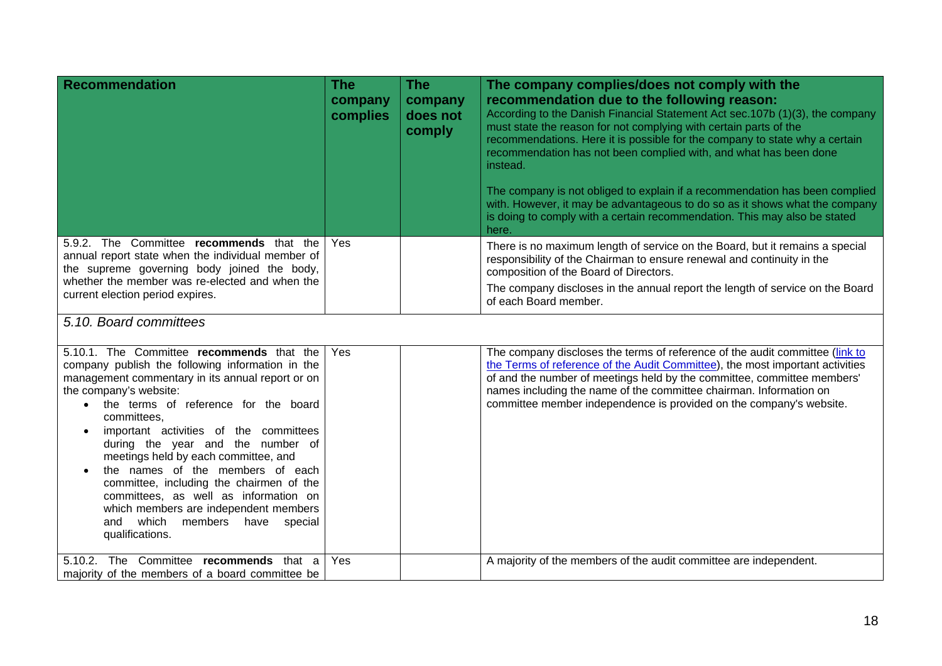| <b>Recommendation</b>                                                                                                                                                                                                                                                                                                                                                                                                                                                                                                                                                               | <b>The</b><br>company<br>complies | <b>The</b><br>company<br>does not<br>comply | The company complies/does not comply with the<br>recommendation due to the following reason:<br>According to the Danish Financial Statement Act sec.107b (1)(3), the company<br>must state the reason for not complying with certain parts of the<br>recommendations. Here it is possible for the company to state why a certain<br>recommendation has not been complied with, and what has been done<br>instead.<br>The company is not obliged to explain if a recommendation has been complied<br>with. However, it may be advantageous to do so as it shows what the company<br>is doing to comply with a certain recommendation. This may also be stated<br>here. |
|-------------------------------------------------------------------------------------------------------------------------------------------------------------------------------------------------------------------------------------------------------------------------------------------------------------------------------------------------------------------------------------------------------------------------------------------------------------------------------------------------------------------------------------------------------------------------------------|-----------------------------------|---------------------------------------------|-----------------------------------------------------------------------------------------------------------------------------------------------------------------------------------------------------------------------------------------------------------------------------------------------------------------------------------------------------------------------------------------------------------------------------------------------------------------------------------------------------------------------------------------------------------------------------------------------------------------------------------------------------------------------|
| 5.9.2. The Committee recommends that the<br>annual report state when the individual member of<br>the supreme governing body joined the body,<br>whether the member was re-elected and when the<br>current election period expires.                                                                                                                                                                                                                                                                                                                                                  | Yes                               |                                             | There is no maximum length of service on the Board, but it remains a special<br>responsibility of the Chairman to ensure renewal and continuity in the<br>composition of the Board of Directors.<br>The company discloses in the annual report the length of service on the Board<br>of each Board member.                                                                                                                                                                                                                                                                                                                                                            |
| 5.10. Board committees                                                                                                                                                                                                                                                                                                                                                                                                                                                                                                                                                              |                                   |                                             |                                                                                                                                                                                                                                                                                                                                                                                                                                                                                                                                                                                                                                                                       |
| 5.10.1. The Committee recommends that the<br>company publish the following information in the<br>management commentary in its annual report or on<br>the company's website:<br>the terms of reference for the board<br>committees,<br>important activities of the committees<br>during the year and the number of<br>meetings held by each committee, and<br>the names of the members of each<br>committee, including the chairmen of the<br>committees, as well as information on<br>which members are independent members<br>and which members have<br>special<br>qualifications. | Yes                               |                                             | The company discloses the terms of reference of the audit committee (link to<br>the Terms of reference of the Audit Committee), the most important activities<br>of and the number of meetings held by the committee, committee members'<br>names including the name of the committee chairman. Information on<br>committee member independence is provided on the company's website.                                                                                                                                                                                                                                                                                 |
| 5.10.2. The Committee recommends that a<br>majority of the members of a board committee be                                                                                                                                                                                                                                                                                                                                                                                                                                                                                          | Yes                               |                                             | A majority of the members of the audit committee are independent.                                                                                                                                                                                                                                                                                                                                                                                                                                                                                                                                                                                                     |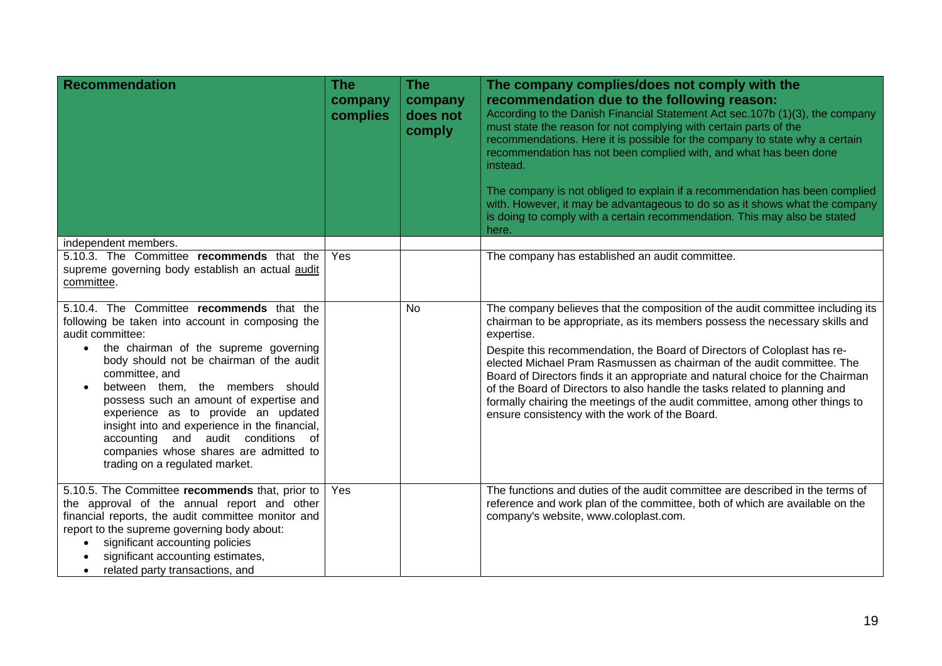| <b>Recommendation</b>                                                                                                                                                                                                                                                                                                                                                                                                                                                                                                          | <b>The</b><br>company<br>complies | <b>The</b><br>company<br>does not<br>comply | The company complies/does not comply with the<br>recommendation due to the following reason:<br>According to the Danish Financial Statement Act sec.107b (1)(3), the company<br>must state the reason for not complying with certain parts of the<br>recommendations. Here it is possible for the company to state why a certain<br>recommendation has not been complied with, and what has been done<br>instead.<br>The company is not obliged to explain if a recommendation has been complied<br>with. However, it may be advantageous to do so as it shows what the company<br>is doing to comply with a certain recommendation. This may also be stated<br>here. |
|--------------------------------------------------------------------------------------------------------------------------------------------------------------------------------------------------------------------------------------------------------------------------------------------------------------------------------------------------------------------------------------------------------------------------------------------------------------------------------------------------------------------------------|-----------------------------------|---------------------------------------------|-----------------------------------------------------------------------------------------------------------------------------------------------------------------------------------------------------------------------------------------------------------------------------------------------------------------------------------------------------------------------------------------------------------------------------------------------------------------------------------------------------------------------------------------------------------------------------------------------------------------------------------------------------------------------|
| independent members.                                                                                                                                                                                                                                                                                                                                                                                                                                                                                                           |                                   |                                             |                                                                                                                                                                                                                                                                                                                                                                                                                                                                                                                                                                                                                                                                       |
| 5.10.3. The Committee recommends that the<br>supreme governing body establish an actual audit<br>committee.                                                                                                                                                                                                                                                                                                                                                                                                                    | Yes                               |                                             | The company has established an audit committee.                                                                                                                                                                                                                                                                                                                                                                                                                                                                                                                                                                                                                       |
| 5.10.4. The Committee recommends that the<br>following be taken into account in composing the<br>audit committee:<br>the chairman of the supreme governing<br>body should not be chairman of the audit<br>committee, and<br>between them, the members should<br>$\bullet$<br>possess such an amount of expertise and<br>experience as to provide an updated<br>insight into and experience in the financial,<br>accounting and audit conditions of<br>companies whose shares are admitted to<br>trading on a regulated market. |                                   | <b>No</b>                                   | The company believes that the composition of the audit committee including its<br>chairman to be appropriate, as its members possess the necessary skills and<br>expertise.<br>Despite this recommendation, the Board of Directors of Coloplast has re-<br>elected Michael Pram Rasmussen as chairman of the audit committee. The<br>Board of Directors finds it an appropriate and natural choice for the Chairman<br>of the Board of Directors to also handle the tasks related to planning and<br>formally chairing the meetings of the audit committee, among other things to<br>ensure consistency with the work of the Board.                                   |
| 5.10.5. The Committee recommends that, prior to<br>the approval of the annual report and other<br>financial reports, the audit committee monitor and<br>report to the supreme governing body about:<br>significant accounting policies<br>$\bullet$<br>significant accounting estimates,<br>related party transactions, and<br>$\bullet$                                                                                                                                                                                       | Yes                               |                                             | The functions and duties of the audit committee are described in the terms of<br>reference and work plan of the committee, both of which are available on the<br>company's website, www.coloplast.com.                                                                                                                                                                                                                                                                                                                                                                                                                                                                |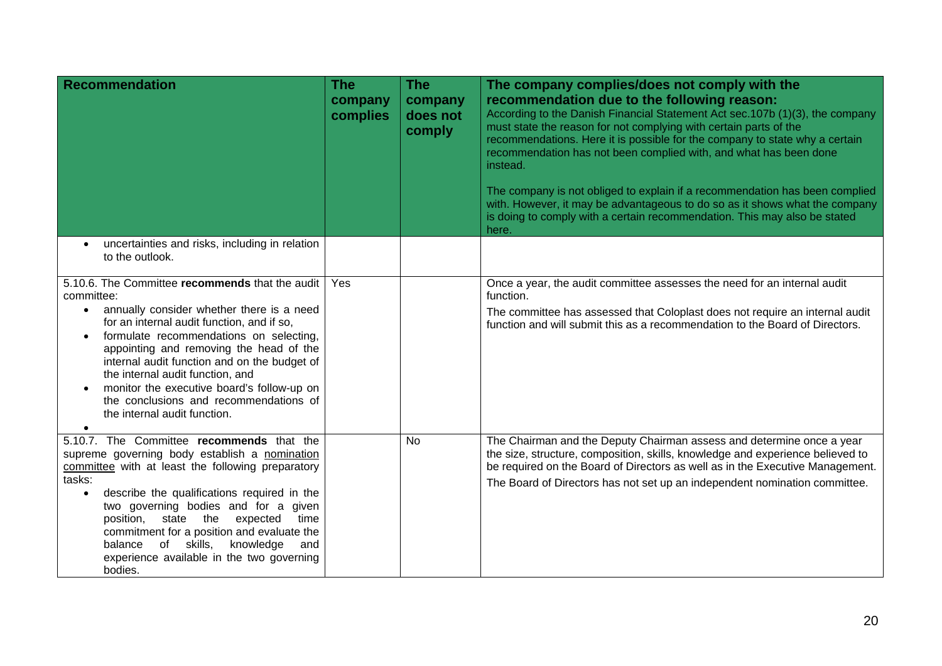| <b>Recommendation</b>                                                                                                                                                                                                                                                                                                                                                                                                                                                   | <b>The</b><br>company<br>complies | <b>The</b><br>company<br>does not<br>comply | The company complies/does not comply with the<br>recommendation due to the following reason:<br>According to the Danish Financial Statement Act sec.107b (1)(3), the company<br>must state the reason for not complying with certain parts of the<br>recommendations. Here it is possible for the company to state why a certain<br>recommendation has not been complied with, and what has been done<br>instead.<br>The company is not obliged to explain if a recommendation has been complied<br>with. However, it may be advantageous to do so as it shows what the company<br>is doing to comply with a certain recommendation. This may also be stated<br>here. |
|-------------------------------------------------------------------------------------------------------------------------------------------------------------------------------------------------------------------------------------------------------------------------------------------------------------------------------------------------------------------------------------------------------------------------------------------------------------------------|-----------------------------------|---------------------------------------------|-----------------------------------------------------------------------------------------------------------------------------------------------------------------------------------------------------------------------------------------------------------------------------------------------------------------------------------------------------------------------------------------------------------------------------------------------------------------------------------------------------------------------------------------------------------------------------------------------------------------------------------------------------------------------|
| uncertainties and risks, including in relation<br>to the outlook.                                                                                                                                                                                                                                                                                                                                                                                                       |                                   |                                             |                                                                                                                                                                                                                                                                                                                                                                                                                                                                                                                                                                                                                                                                       |
| 5.10.6. The Committee recommends that the audit<br>committee:<br>annually consider whether there is a need<br>$\bullet$<br>for an internal audit function, and if so,<br>formulate recommendations on selecting,<br>appointing and removing the head of the<br>internal audit function and on the budget of<br>the internal audit function, and<br>monitor the executive board's follow-up on<br>the conclusions and recommendations of<br>the internal audit function. | Yes                               |                                             | Once a year, the audit committee assesses the need for an internal audit<br>function.<br>The committee has assessed that Coloplast does not require an internal audit<br>function and will submit this as a recommendation to the Board of Directors.                                                                                                                                                                                                                                                                                                                                                                                                                 |
| 5.10.7. The Committee recommends that the<br>supreme governing body establish a nomination<br>committee with at least the following preparatory<br>tasks:<br>describe the qualifications required in the<br>$\bullet$<br>two governing bodies and for a given<br>state the<br>position,<br>expected<br>time<br>commitment for a position and evaluate the<br>of skills,<br>knowledge<br>balance<br>and<br>experience available in the two governing<br>bodies.          |                                   | No                                          | The Chairman and the Deputy Chairman assess and determine once a year<br>the size, structure, composition, skills, knowledge and experience believed to<br>be required on the Board of Directors as well as in the Executive Management.<br>The Board of Directors has not set up an independent nomination committee.                                                                                                                                                                                                                                                                                                                                                |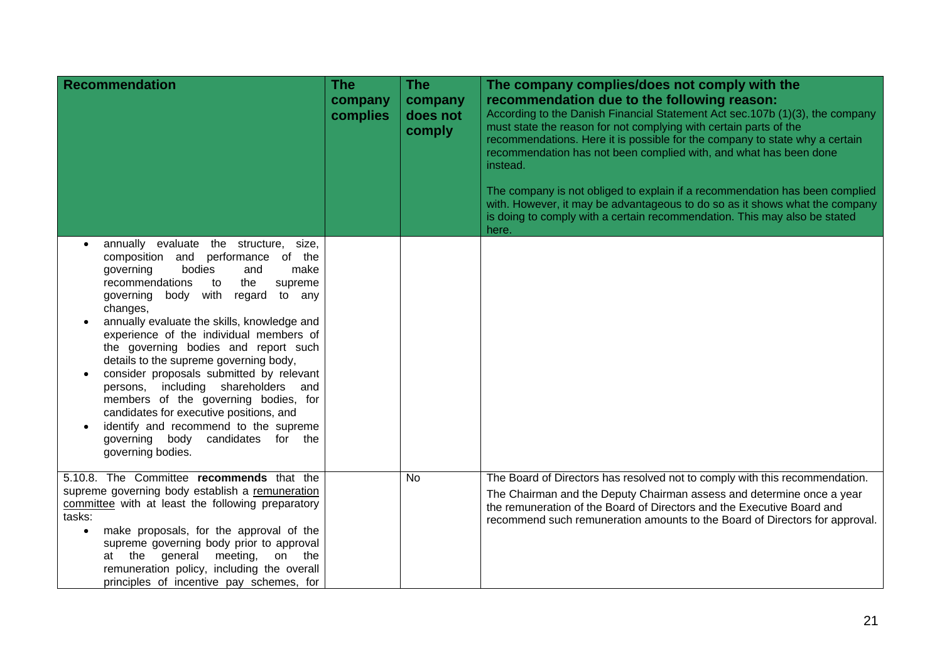| <b>Recommendation</b>                                                                                                                                                                                                                                                                                                                                                                                                                                                                                                                                                                                                                                                                        | <b>The</b><br>company<br>complies | <b>The</b><br>company<br>does not<br>comply | The company complies/does not comply with the<br>recommendation due to the following reason:<br>According to the Danish Financial Statement Act sec.107b (1)(3), the company<br>must state the reason for not complying with certain parts of the<br>recommendations. Here it is possible for the company to state why a certain<br>recommendation has not been complied with, and what has been done<br>instead.<br>The company is not obliged to explain if a recommendation has been complied<br>with. However, it may be advantageous to do so as it shows what the company |
|----------------------------------------------------------------------------------------------------------------------------------------------------------------------------------------------------------------------------------------------------------------------------------------------------------------------------------------------------------------------------------------------------------------------------------------------------------------------------------------------------------------------------------------------------------------------------------------------------------------------------------------------------------------------------------------------|-----------------------------------|---------------------------------------------|---------------------------------------------------------------------------------------------------------------------------------------------------------------------------------------------------------------------------------------------------------------------------------------------------------------------------------------------------------------------------------------------------------------------------------------------------------------------------------------------------------------------------------------------------------------------------------|
|                                                                                                                                                                                                                                                                                                                                                                                                                                                                                                                                                                                                                                                                                              |                                   |                                             | is doing to comply with a certain recommendation. This may also be stated<br>here.                                                                                                                                                                                                                                                                                                                                                                                                                                                                                              |
| annually evaluate the structure,<br>size,<br>$\bullet$<br>composition and performance of the<br>bodies<br>governing<br>and<br>make<br>recommendations<br>the<br>supreme<br>to<br>body with<br>governing<br>regard<br>to any<br>changes,<br>annually evaluate the skills, knowledge and<br>experience of the individual members of<br>the governing bodies and report such<br>details to the supreme governing body,<br>consider proposals submitted by relevant<br>persons, including shareholders and<br>members of the governing bodies, for<br>candidates for executive positions, and<br>identify and recommend to the supreme<br>governing body candidates for the<br>governing bodies. |                                   |                                             |                                                                                                                                                                                                                                                                                                                                                                                                                                                                                                                                                                                 |
| 5.10.8. The Committee recommends that the<br>supreme governing body establish a remuneration<br>committee with at least the following preparatory<br>tasks:<br>make proposals, for the approval of the<br>$\bullet$<br>supreme governing body prior to approval<br>the<br>general meeting,<br>on the<br>at<br>remuneration policy, including the overall<br>principles of incentive pay schemes, for                                                                                                                                                                                                                                                                                         |                                   | <b>No</b>                                   | The Board of Directors has resolved not to comply with this recommendation.<br>The Chairman and the Deputy Chairman assess and determine once a year<br>the remuneration of the Board of Directors and the Executive Board and<br>recommend such remuneration amounts to the Board of Directors for approval.                                                                                                                                                                                                                                                                   |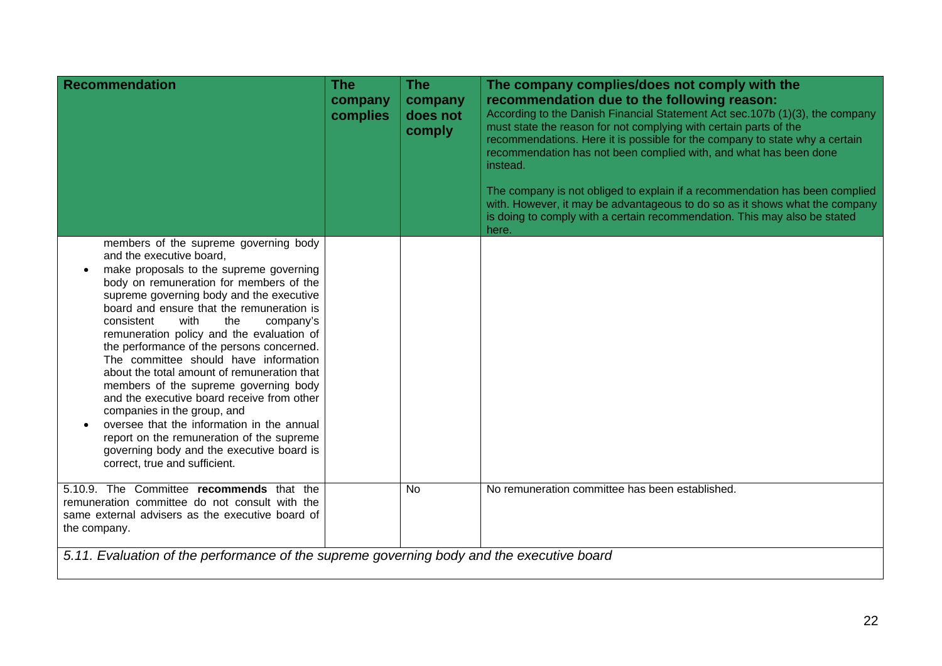| <b>Recommendation</b>                                                                                                                                                                                                                                                                                                                                                                                                                                                                                                                                                                                                                                                                                                                                                       | <b>The</b><br>company<br>complies | <b>The</b><br>company<br>does not<br>comply | The company complies/does not comply with the<br>recommendation due to the following reason:<br>According to the Danish Financial Statement Act sec.107b (1)(3), the company<br>must state the reason for not complying with certain parts of the<br>recommendations. Here it is possible for the company to state why a certain<br>recommendation has not been complied with, and what has been done<br>instead.<br>The company is not obliged to explain if a recommendation has been complied<br>with. However, it may be advantageous to do so as it shows what the company<br>is doing to comply with a certain recommendation. This may also be stated<br>here. |
|-----------------------------------------------------------------------------------------------------------------------------------------------------------------------------------------------------------------------------------------------------------------------------------------------------------------------------------------------------------------------------------------------------------------------------------------------------------------------------------------------------------------------------------------------------------------------------------------------------------------------------------------------------------------------------------------------------------------------------------------------------------------------------|-----------------------------------|---------------------------------------------|-----------------------------------------------------------------------------------------------------------------------------------------------------------------------------------------------------------------------------------------------------------------------------------------------------------------------------------------------------------------------------------------------------------------------------------------------------------------------------------------------------------------------------------------------------------------------------------------------------------------------------------------------------------------------|
| members of the supreme governing body<br>and the executive board,<br>make proposals to the supreme governing<br>body on remuneration for members of the<br>supreme governing body and the executive<br>board and ensure that the remuneration is<br>with<br>consistent<br>the<br>company's<br>remuneration policy and the evaluation of<br>the performance of the persons concerned.<br>The committee should have information<br>about the total amount of remuneration that<br>members of the supreme governing body<br>and the executive board receive from other<br>companies in the group, and<br>oversee that the information in the annual<br>report on the remuneration of the supreme<br>governing body and the executive board is<br>correct, true and sufficient. |                                   |                                             |                                                                                                                                                                                                                                                                                                                                                                                                                                                                                                                                                                                                                                                                       |
| 5.10.9. The Committee recommends that the<br>remuneration committee do not consult with the<br>same external advisers as the executive board of<br>the company.                                                                                                                                                                                                                                                                                                                                                                                                                                                                                                                                                                                                             |                                   | <b>No</b>                                   | No remuneration committee has been established.                                                                                                                                                                                                                                                                                                                                                                                                                                                                                                                                                                                                                       |
| 5.11. Evaluation of the performance of the supreme governing body and the executive board                                                                                                                                                                                                                                                                                                                                                                                                                                                                                                                                                                                                                                                                                   |                                   |                                             |                                                                                                                                                                                                                                                                                                                                                                                                                                                                                                                                                                                                                                                                       |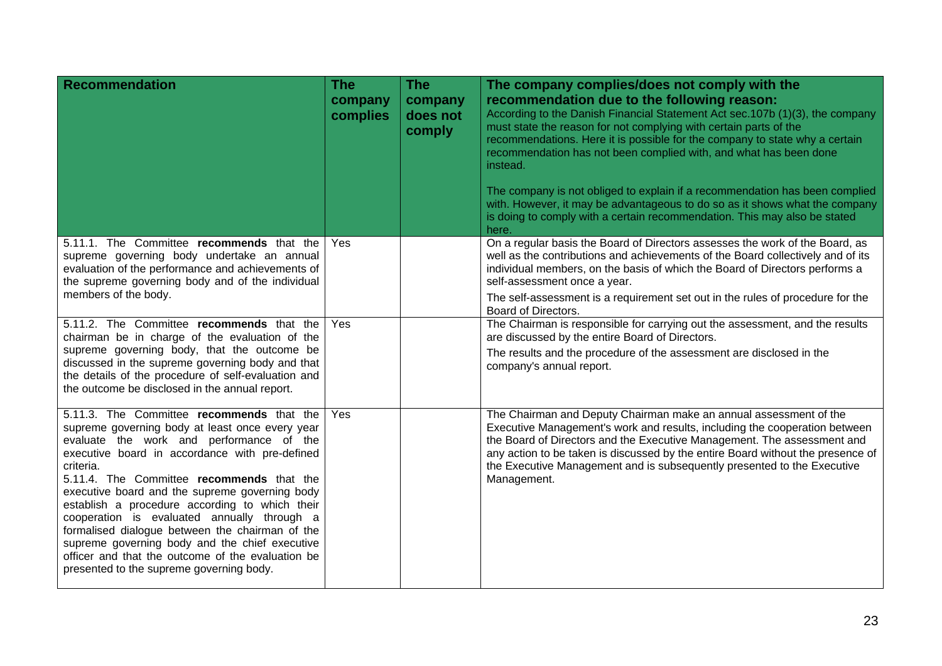| <b>Recommendation</b>                                                                                                                                                                                                                                                                                                                                                                                                                                                                                                                                                                                         | <b>The</b><br>company<br>complies | <b>The</b><br>company<br>does not<br>comply | The company complies/does not comply with the<br>recommendation due to the following reason:<br>According to the Danish Financial Statement Act sec. 107b (1)(3), the company<br>must state the reason for not complying with certain parts of the<br>recommendations. Here it is possible for the company to state why a certain<br>recommendation has not been complied with, and what has been done<br>instead.<br>The company is not obliged to explain if a recommendation has been complied<br>with. However, it may be advantageous to do so as it shows what the company<br>is doing to comply with a certain recommendation. This may also be stated<br>here. |
|---------------------------------------------------------------------------------------------------------------------------------------------------------------------------------------------------------------------------------------------------------------------------------------------------------------------------------------------------------------------------------------------------------------------------------------------------------------------------------------------------------------------------------------------------------------------------------------------------------------|-----------------------------------|---------------------------------------------|------------------------------------------------------------------------------------------------------------------------------------------------------------------------------------------------------------------------------------------------------------------------------------------------------------------------------------------------------------------------------------------------------------------------------------------------------------------------------------------------------------------------------------------------------------------------------------------------------------------------------------------------------------------------|
| 5.11.1. The Committee recommends that the<br>supreme governing body undertake an annual<br>evaluation of the performance and achievements of<br>the supreme governing body and of the individual<br>members of the body.                                                                                                                                                                                                                                                                                                                                                                                      | Yes                               |                                             | On a regular basis the Board of Directors assesses the work of the Board, as<br>well as the contributions and achievements of the Board collectively and of its<br>individual members, on the basis of which the Board of Directors performs a<br>self-assessment once a year.<br>The self-assessment is a requirement set out in the rules of procedure for the<br>Board of Directors.                                                                                                                                                                                                                                                                                |
| 5.11.2. The Committee recommends that the<br>chairman be in charge of the evaluation of the<br>supreme governing body, that the outcome be<br>discussed in the supreme governing body and that<br>the details of the procedure of self-evaluation and<br>the outcome be disclosed in the annual report.                                                                                                                                                                                                                                                                                                       | Yes                               |                                             | The Chairman is responsible for carrying out the assessment, and the results<br>are discussed by the entire Board of Directors.<br>The results and the procedure of the assessment are disclosed in the<br>company's annual report.                                                                                                                                                                                                                                                                                                                                                                                                                                    |
| 5.11.3. The Committee recommends that the<br>supreme governing body at least once every year<br>evaluate the work and performance of the<br>executive board in accordance with pre-defined<br>criteria.<br>5.11.4. The Committee recommends that the<br>executive board and the supreme governing body<br>establish a procedure according to which their<br>cooperation is evaluated annually through a<br>formalised dialogue between the chairman of the<br>supreme governing body and the chief executive<br>officer and that the outcome of the evaluation be<br>presented to the supreme governing body. | Yes                               |                                             | The Chairman and Deputy Chairman make an annual assessment of the<br>Executive Management's work and results, including the cooperation between<br>the Board of Directors and the Executive Management. The assessment and<br>any action to be taken is discussed by the entire Board without the presence of<br>the Executive Management and is subsequently presented to the Executive<br>Management.                                                                                                                                                                                                                                                                |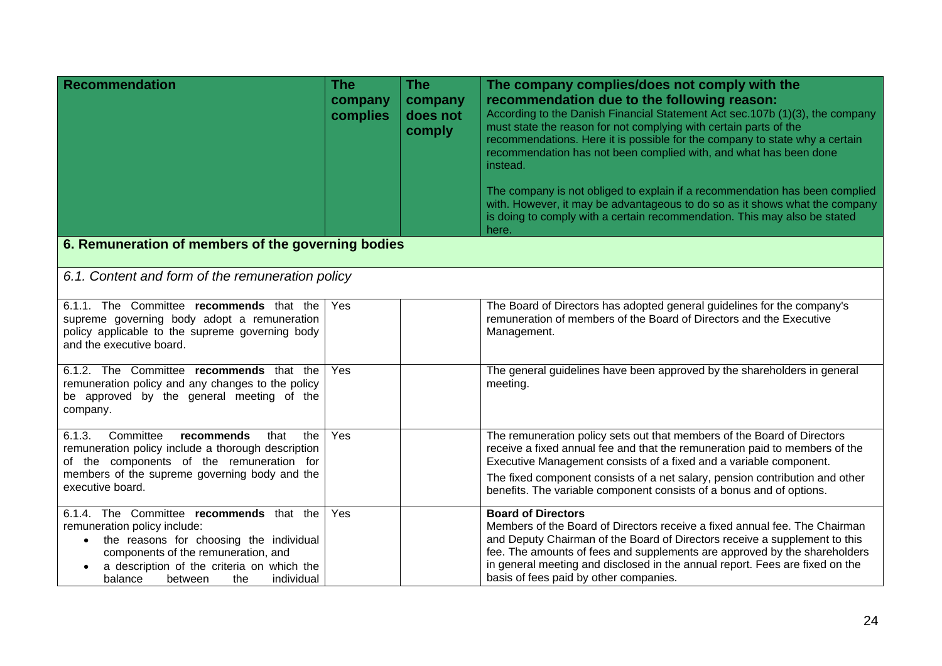| <b>Recommendation</b>                                                                                                                                                                                                                                                         | <b>The</b><br>company<br>complies | <b>The</b><br>company<br>does not<br>comply | The company complies/does not comply with the<br>recommendation due to the following reason:<br>According to the Danish Financial Statement Act sec.107b (1)(3), the company<br>must state the reason for not complying with certain parts of the<br>recommendations. Here it is possible for the company to state why a certain<br>recommendation has not been complied with, and what has been done<br>instead.<br>The company is not obliged to explain if a recommendation has been complied<br>with. However, it may be advantageous to do so as it shows what the company<br>is doing to comply with a certain recommendation. This may also be stated<br>here. |  |  |  |
|-------------------------------------------------------------------------------------------------------------------------------------------------------------------------------------------------------------------------------------------------------------------------------|-----------------------------------|---------------------------------------------|-----------------------------------------------------------------------------------------------------------------------------------------------------------------------------------------------------------------------------------------------------------------------------------------------------------------------------------------------------------------------------------------------------------------------------------------------------------------------------------------------------------------------------------------------------------------------------------------------------------------------------------------------------------------------|--|--|--|
| 6. Remuneration of members of the governing bodies                                                                                                                                                                                                                            |                                   |                                             |                                                                                                                                                                                                                                                                                                                                                                                                                                                                                                                                                                                                                                                                       |  |  |  |
| 6.1. Content and form of the remuneration policy                                                                                                                                                                                                                              |                                   |                                             |                                                                                                                                                                                                                                                                                                                                                                                                                                                                                                                                                                                                                                                                       |  |  |  |
| 6.1.1. The Committee recommends that the<br>supreme governing body adopt a remuneration<br>policy applicable to the supreme governing body<br>and the executive board.                                                                                                        | Yes                               |                                             | The Board of Directors has adopted general guidelines for the company's<br>remuneration of members of the Board of Directors and the Executive<br>Management.                                                                                                                                                                                                                                                                                                                                                                                                                                                                                                         |  |  |  |
| 6.1.2. The Committee recommends that the<br>remuneration policy and any changes to the policy<br>be approved by the general meeting of the<br>company.                                                                                                                        | Yes                               |                                             | The general guidelines have been approved by the shareholders in general<br>meeting.                                                                                                                                                                                                                                                                                                                                                                                                                                                                                                                                                                                  |  |  |  |
| Committee<br>6.1.3.<br>recommends<br>that<br>the<br>remuneration policy include a thorough description<br>of the components of the remuneration for<br>members of the supreme governing body and the<br>executive board.                                                      | Yes                               |                                             | The remuneration policy sets out that members of the Board of Directors<br>receive a fixed annual fee and that the remuneration paid to members of the<br>Executive Management consists of a fixed and a variable component.<br>The fixed component consists of a net salary, pension contribution and other<br>benefits. The variable component consists of a bonus and of options.                                                                                                                                                                                                                                                                                  |  |  |  |
| 6.1.4. The Committee recommends that the<br>remuneration policy include:<br>the reasons for choosing the individual<br>$\bullet$<br>components of the remuneration, and<br>a description of the criteria on which the<br>$\bullet$<br>individual<br>the<br>balance<br>between | Yes                               |                                             | <b>Board of Directors</b><br>Members of the Board of Directors receive a fixed annual fee. The Chairman<br>and Deputy Chairman of the Board of Directors receive a supplement to this<br>fee. The amounts of fees and supplements are approved by the shareholders<br>in general meeting and disclosed in the annual report. Fees are fixed on the<br>basis of fees paid by other companies.                                                                                                                                                                                                                                                                          |  |  |  |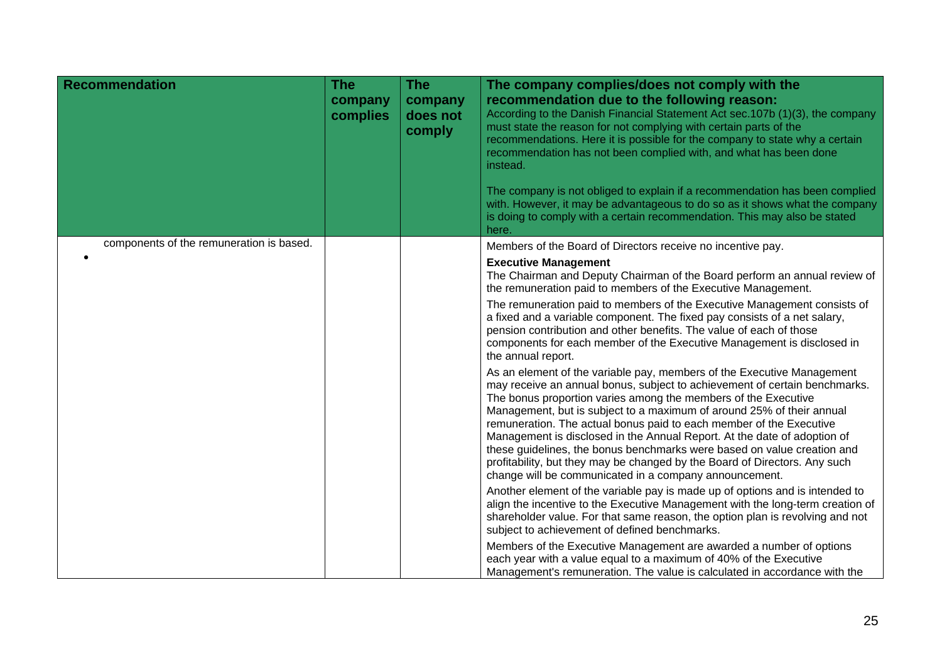| <b>Recommendation</b>                    | <b>The</b><br>company<br>complies | <b>The</b><br>company<br>does not<br>comply | The company complies/does not comply with the<br>recommendation due to the following reason:<br>According to the Danish Financial Statement Act sec.107b (1)(3), the company<br>must state the reason for not complying with certain parts of the<br>recommendations. Here it is possible for the company to state why a certain<br>recommendation has not been complied with, and what has been done<br>instead.<br>The company is not obliged to explain if a recommendation has been complied<br>with. However, it may be advantageous to do so as it shows what the company<br>is doing to comply with a certain recommendation. This may also be stated<br>here. |
|------------------------------------------|-----------------------------------|---------------------------------------------|-----------------------------------------------------------------------------------------------------------------------------------------------------------------------------------------------------------------------------------------------------------------------------------------------------------------------------------------------------------------------------------------------------------------------------------------------------------------------------------------------------------------------------------------------------------------------------------------------------------------------------------------------------------------------|
| components of the remuneration is based. |                                   |                                             | Members of the Board of Directors receive no incentive pay.                                                                                                                                                                                                                                                                                                                                                                                                                                                                                                                                                                                                           |
|                                          |                                   |                                             | <b>Executive Management</b><br>The Chairman and Deputy Chairman of the Board perform an annual review of<br>the remuneration paid to members of the Executive Management.                                                                                                                                                                                                                                                                                                                                                                                                                                                                                             |
|                                          |                                   |                                             | The remuneration paid to members of the Executive Management consists of<br>a fixed and a variable component. The fixed pay consists of a net salary,<br>pension contribution and other benefits. The value of each of those<br>components for each member of the Executive Management is disclosed in<br>the annual report.                                                                                                                                                                                                                                                                                                                                          |
|                                          |                                   |                                             | As an element of the variable pay, members of the Executive Management<br>may receive an annual bonus, subject to achievement of certain benchmarks.<br>The bonus proportion varies among the members of the Executive<br>Management, but is subject to a maximum of around 25% of their annual<br>remuneration. The actual bonus paid to each member of the Executive<br>Management is disclosed in the Annual Report. At the date of adoption of<br>these guidelines, the bonus benchmarks were based on value creation and<br>profitability, but they may be changed by the Board of Directors. Any such<br>change will be communicated in a company announcement. |
|                                          |                                   |                                             | Another element of the variable pay is made up of options and is intended to<br>align the incentive to the Executive Management with the long-term creation of<br>shareholder value. For that same reason, the option plan is revolving and not<br>subject to achievement of defined benchmarks.<br>Members of the Executive Management are awarded a number of options                                                                                                                                                                                                                                                                                               |
|                                          |                                   |                                             | each year with a value equal to a maximum of 40% of the Executive<br>Management's remuneration. The value is calculated in accordance with the                                                                                                                                                                                                                                                                                                                                                                                                                                                                                                                        |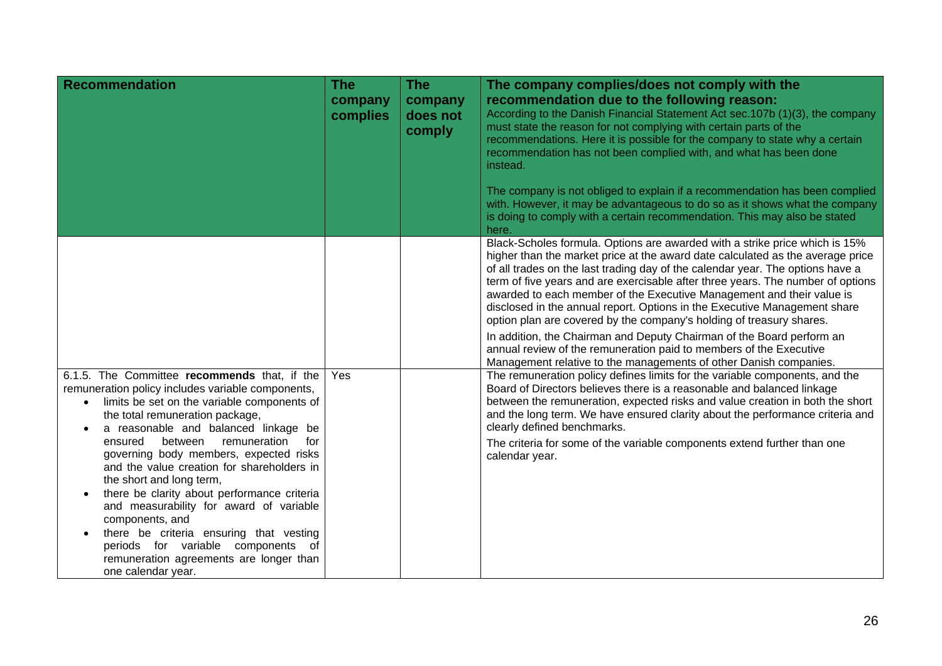| <b>Recommendation</b>                                                                                                                                                                                                                    | <b>The</b><br>company<br>complies | <b>The</b><br>company<br>does not<br>comply | The company complies/does not comply with the<br>recommendation due to the following reason:<br>According to the Danish Financial Statement Act sec.107b (1)(3), the company<br>must state the reason for not complying with certain parts of the<br>recommendations. Here it is possible for the company to state why a certain                                                                                                                                                                                                                                 |
|------------------------------------------------------------------------------------------------------------------------------------------------------------------------------------------------------------------------------------------|-----------------------------------|---------------------------------------------|------------------------------------------------------------------------------------------------------------------------------------------------------------------------------------------------------------------------------------------------------------------------------------------------------------------------------------------------------------------------------------------------------------------------------------------------------------------------------------------------------------------------------------------------------------------|
|                                                                                                                                                                                                                                          |                                   |                                             | recommendation has not been complied with, and what has been done<br>instead.                                                                                                                                                                                                                                                                                                                                                                                                                                                                                    |
|                                                                                                                                                                                                                                          |                                   |                                             | The company is not obliged to explain if a recommendation has been complied<br>with. However, it may be advantageous to do so as it shows what the company<br>is doing to comply with a certain recommendation. This may also be stated<br>here.                                                                                                                                                                                                                                                                                                                 |
|                                                                                                                                                                                                                                          |                                   |                                             | Black-Scholes formula. Options are awarded with a strike price which is 15%<br>higher than the market price at the award date calculated as the average price<br>of all trades on the last trading day of the calendar year. The options have a<br>term of five years and are exercisable after three years. The number of options<br>awarded to each member of the Executive Management and their value is<br>disclosed in the annual report. Options in the Executive Management share<br>option plan are covered by the company's holding of treasury shares. |
|                                                                                                                                                                                                                                          |                                   |                                             | In addition, the Chairman and Deputy Chairman of the Board perform an<br>annual review of the remuneration paid to members of the Executive<br>Management relative to the managements of other Danish companies.                                                                                                                                                                                                                                                                                                                                                 |
| 6.1.5. The Committee recommends that, if the<br>remuneration policy includes variable components,<br>limits be set on the variable components of<br>$\bullet$<br>the total remuneration package,<br>a reasonable and balanced linkage be | Yes                               |                                             | The remuneration policy defines limits for the variable components, and the<br>Board of Directors believes there is a reasonable and balanced linkage<br>between the remuneration, expected risks and value creation in both the short<br>and the long term. We have ensured clarity about the performance criteria and<br>clearly defined benchmarks.                                                                                                                                                                                                           |
| between<br>remuneration<br>for<br>ensured<br>governing body members, expected risks<br>and the value creation for shareholders in<br>the short and long term,<br>there be clarity about performance criteria                             |                                   |                                             | The criteria for some of the variable components extend further than one<br>calendar year.                                                                                                                                                                                                                                                                                                                                                                                                                                                                       |
| and measurability for award of variable<br>components, and<br>there be criteria ensuring that vesting<br>periods for variable components of<br>remuneration agreements are longer than<br>one calendar year.                             |                                   |                                             |                                                                                                                                                                                                                                                                                                                                                                                                                                                                                                                                                                  |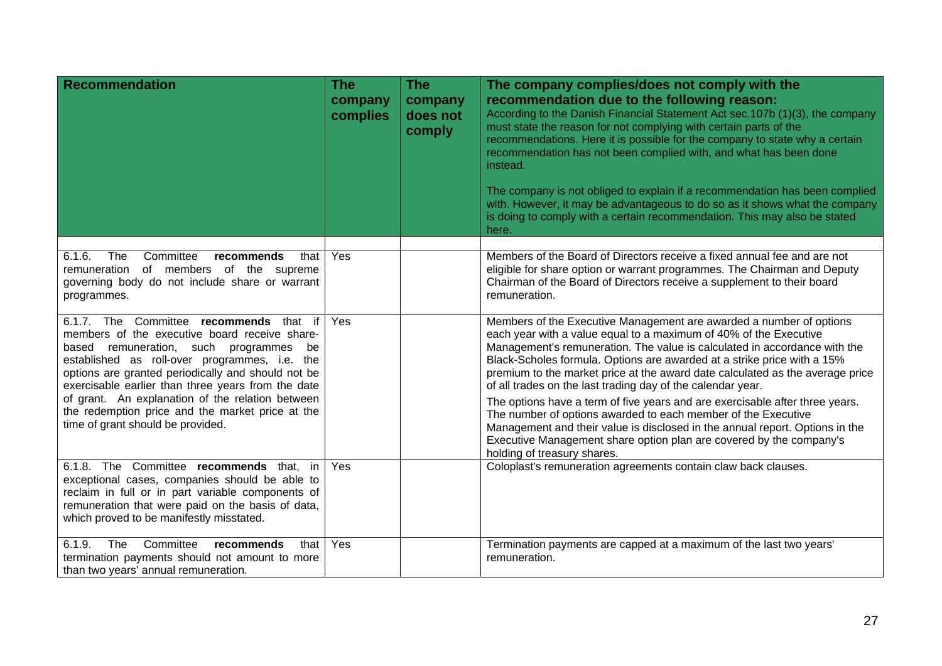| <b>Recommendation</b>                                                                                                                                                                                                                                                                                                                                                                                                                           | <b>The</b><br>company<br>complies | <b>The</b><br>company<br>does not<br>comply | The company complies/does not comply with the<br>recommendation due to the following reason:<br>According to the Danish Financial Statement Act sec.107b (1)(3), the company<br>must state the reason for not complying with certain parts of the<br>recommendations. Here it is possible for the company to state why a certain<br>recommendation has not been complied with, and what has been done<br>instead.<br>The company is not obliged to explain if a recommendation has been complied<br>with. However, it may be advantageous to do so as it shows what the company<br>is doing to comply with a certain recommendation. This may also be stated<br>here.                                                                                                                   |
|-------------------------------------------------------------------------------------------------------------------------------------------------------------------------------------------------------------------------------------------------------------------------------------------------------------------------------------------------------------------------------------------------------------------------------------------------|-----------------------------------|---------------------------------------------|-----------------------------------------------------------------------------------------------------------------------------------------------------------------------------------------------------------------------------------------------------------------------------------------------------------------------------------------------------------------------------------------------------------------------------------------------------------------------------------------------------------------------------------------------------------------------------------------------------------------------------------------------------------------------------------------------------------------------------------------------------------------------------------------|
| 6.1.6.<br>Committee<br>The<br>recommends<br>that<br>remuneration of members of the supreme<br>governing body do not include share or warrant<br>programmes.                                                                                                                                                                                                                                                                                     | Yes                               |                                             | Members of the Board of Directors receive a fixed annual fee and are not<br>eligible for share option or warrant programmes. The Chairman and Deputy<br>Chairman of the Board of Directors receive a supplement to their board<br>remuneration.                                                                                                                                                                                                                                                                                                                                                                                                                                                                                                                                         |
| 6.1.7. The Committee recommends that if<br>members of the executive board receive share-<br>based remuneration, such programmes<br>be<br>established as roll-over programmes, i.e. the<br>options are granted periodically and should not be<br>exercisable earlier than three years from the date<br>of grant. An explanation of the relation between<br>the redemption price and the market price at the<br>time of grant should be provided. | Yes                               |                                             | Members of the Executive Management are awarded a number of options<br>each year with a value equal to a maximum of 40% of the Executive<br>Management's remuneration. The value is calculated in accordance with the<br>Black-Scholes formula. Options are awarded at a strike price with a 15%<br>premium to the market price at the award date calculated as the average price<br>of all trades on the last trading day of the calendar year.<br>The options have a term of five years and are exercisable after three years.<br>The number of options awarded to each member of the Executive<br>Management and their value is disclosed in the annual report. Options in the<br>Executive Management share option plan are covered by the company's<br>holding of treasury shares. |
| 6.1.8. The Committee recommends that, in<br>exceptional cases, companies should be able to<br>reclaim in full or in part variable components of<br>remuneration that were paid on the basis of data,<br>which proved to be manifestly misstated.                                                                                                                                                                                                | Yes                               |                                             | Coloplast's remuneration agreements contain claw back clauses.                                                                                                                                                                                                                                                                                                                                                                                                                                                                                                                                                                                                                                                                                                                          |
| The<br>6.1.9.<br>Committee<br>recommends<br>that<br>termination payments should not amount to more<br>than two years' annual remuneration.                                                                                                                                                                                                                                                                                                      | Yes                               |                                             | Termination payments are capped at a maximum of the last two years'<br>remuneration.                                                                                                                                                                                                                                                                                                                                                                                                                                                                                                                                                                                                                                                                                                    |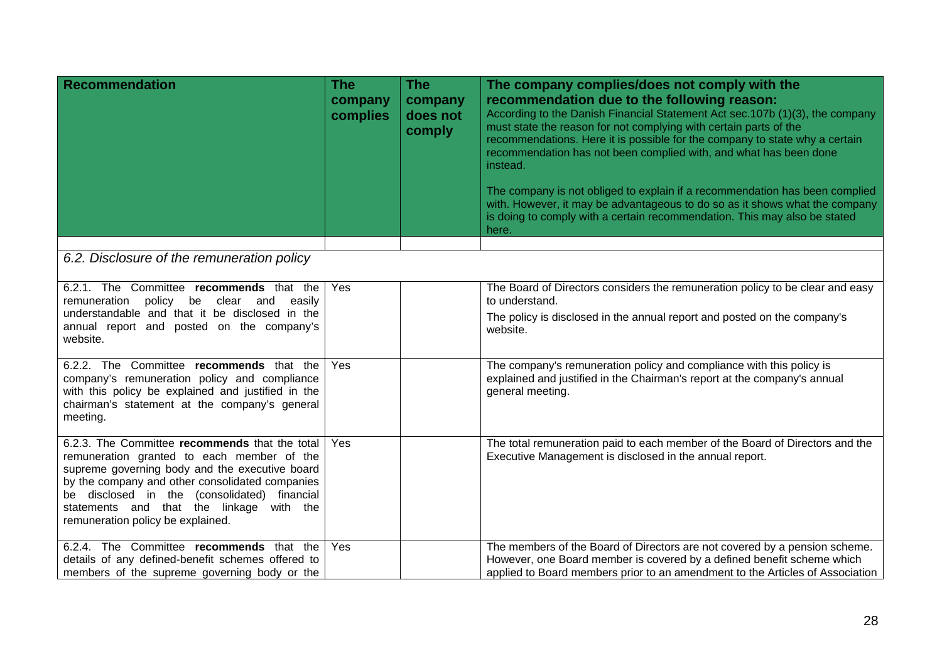| <b>Recommendation</b>                                                                                                                                                                                                                                                                                                              | <b>The</b><br>company<br>complies | <b>The</b><br>company<br>does not<br>comply | The company complies/does not comply with the<br>recommendation due to the following reason:<br>According to the Danish Financial Statement Act sec.107b (1)(3), the company<br>must state the reason for not complying with certain parts of the<br>recommendations. Here it is possible for the company to state why a certain<br>recommendation has not been complied with, and what has been done<br>instead.<br>The company is not obliged to explain if a recommendation has been complied<br>with. However, it may be advantageous to do so as it shows what the company<br>is doing to comply with a certain recommendation. This may also be stated<br>here. |
|------------------------------------------------------------------------------------------------------------------------------------------------------------------------------------------------------------------------------------------------------------------------------------------------------------------------------------|-----------------------------------|---------------------------------------------|-----------------------------------------------------------------------------------------------------------------------------------------------------------------------------------------------------------------------------------------------------------------------------------------------------------------------------------------------------------------------------------------------------------------------------------------------------------------------------------------------------------------------------------------------------------------------------------------------------------------------------------------------------------------------|
| 6.2. Disclosure of the remuneration policy                                                                                                                                                                                                                                                                                         |                                   |                                             |                                                                                                                                                                                                                                                                                                                                                                                                                                                                                                                                                                                                                                                                       |
| 6.2.1. The Committee recommends that the<br>remuneration policy be clear and<br>easily<br>understandable and that it be disclosed in the<br>annual report and posted on the company's<br>website.                                                                                                                                  | Yes                               |                                             | The Board of Directors considers the remuneration policy to be clear and easy<br>to understand.<br>The policy is disclosed in the annual report and posted on the company's<br>website.                                                                                                                                                                                                                                                                                                                                                                                                                                                                               |
| 6.2.2. The Committee recommends that the<br>company's remuneration policy and compliance<br>with this policy be explained and justified in the<br>chairman's statement at the company's general<br>meeting.                                                                                                                        | Yes                               |                                             | The company's remuneration policy and compliance with this policy is<br>explained and justified in the Chairman's report at the company's annual<br>general meeting.                                                                                                                                                                                                                                                                                                                                                                                                                                                                                                  |
| 6.2.3. The Committee recommends that the total<br>remuneration granted to each member of the<br>supreme governing body and the executive board<br>by the company and other consolidated companies<br>be disclosed in the (consolidated) financial<br>statements and that the linkage with the<br>remuneration policy be explained. | Yes                               |                                             | The total remuneration paid to each member of the Board of Directors and the<br>Executive Management is disclosed in the annual report.                                                                                                                                                                                                                                                                                                                                                                                                                                                                                                                               |
| 6.2.4. The Committee recommends that the<br>details of any defined-benefit schemes offered to<br>members of the supreme governing body or the                                                                                                                                                                                      | <b>Yes</b>                        |                                             | The members of the Board of Directors are not covered by a pension scheme.<br>However, one Board member is covered by a defined benefit scheme which<br>applied to Board members prior to an amendment to the Articles of Association                                                                                                                                                                                                                                                                                                                                                                                                                                 |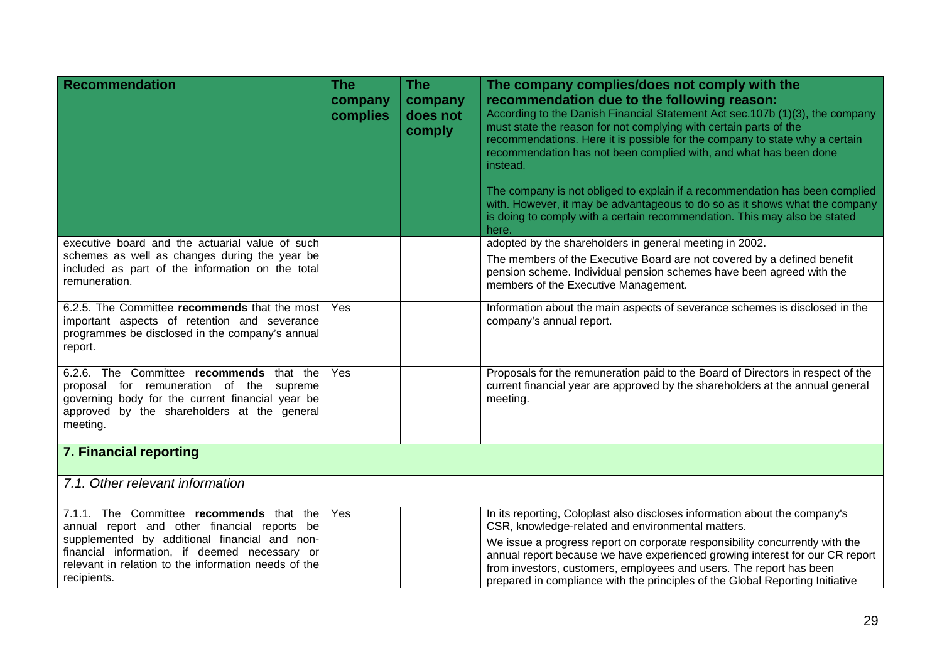| <b>Recommendation</b>                                                                                                                                                                                                                                             | <b>The</b><br>company<br>complies | <b>The</b><br>company<br>does not<br>comply | The company complies/does not comply with the<br>recommendation due to the following reason:<br>According to the Danish Financial Statement Act sec.107b (1)(3), the company<br>must state the reason for not complying with certain parts of the<br>recommendations. Here it is possible for the company to state why a certain<br>recommendation has not been complied with, and what has been done<br>instead.<br>The company is not obliged to explain if a recommendation has been complied<br>with. However, it may be advantageous to do so as it shows what the company<br>is doing to comply with a certain recommendation. This may also be stated<br>here. |
|-------------------------------------------------------------------------------------------------------------------------------------------------------------------------------------------------------------------------------------------------------------------|-----------------------------------|---------------------------------------------|-----------------------------------------------------------------------------------------------------------------------------------------------------------------------------------------------------------------------------------------------------------------------------------------------------------------------------------------------------------------------------------------------------------------------------------------------------------------------------------------------------------------------------------------------------------------------------------------------------------------------------------------------------------------------|
| executive board and the actuarial value of such                                                                                                                                                                                                                   |                                   |                                             | adopted by the shareholders in general meeting in 2002.                                                                                                                                                                                                                                                                                                                                                                                                                                                                                                                                                                                                               |
| schemes as well as changes during the year be<br>included as part of the information on the total<br>remuneration.                                                                                                                                                |                                   |                                             | The members of the Executive Board are not covered by a defined benefit<br>pension scheme. Individual pension schemes have been agreed with the<br>members of the Executive Management.                                                                                                                                                                                                                                                                                                                                                                                                                                                                               |
| 6.2.5. The Committee recommends that the most<br>important aspects of retention and severance<br>programmes be disclosed in the company's annual<br>report.                                                                                                       | Yes                               |                                             | Information about the main aspects of severance schemes is disclosed in the<br>company's annual report.                                                                                                                                                                                                                                                                                                                                                                                                                                                                                                                                                               |
| 6.2.6. The Committee recommends that the<br>proposal for remuneration of the supreme<br>governing body for the current financial year be<br>approved by the shareholders at the general<br>meeting.                                                               | Yes                               |                                             | Proposals for the remuneration paid to the Board of Directors in respect of the<br>current financial year are approved by the shareholders at the annual general<br>meeting.                                                                                                                                                                                                                                                                                                                                                                                                                                                                                          |
| 7. Financial reporting                                                                                                                                                                                                                                            |                                   |                                             |                                                                                                                                                                                                                                                                                                                                                                                                                                                                                                                                                                                                                                                                       |
| 7.1. Other relevant information                                                                                                                                                                                                                                   |                                   |                                             |                                                                                                                                                                                                                                                                                                                                                                                                                                                                                                                                                                                                                                                                       |
| 7.1.1. The Committee recommends that the<br>annual report and other financial reports be<br>supplemented by additional financial and non-<br>financial information, if deemed necessary or<br>relevant in relation to the information needs of the<br>recipients. | Yes                               |                                             | In its reporting, Coloplast also discloses information about the company's<br>CSR, knowledge-related and environmental matters.<br>We issue a progress report on corporate responsibility concurrently with the<br>annual report because we have experienced growing interest for our CR report<br>from investors, customers, employees and users. The report has been<br>prepared in compliance with the principles of the Global Reporting Initiative                                                                                                                                                                                                               |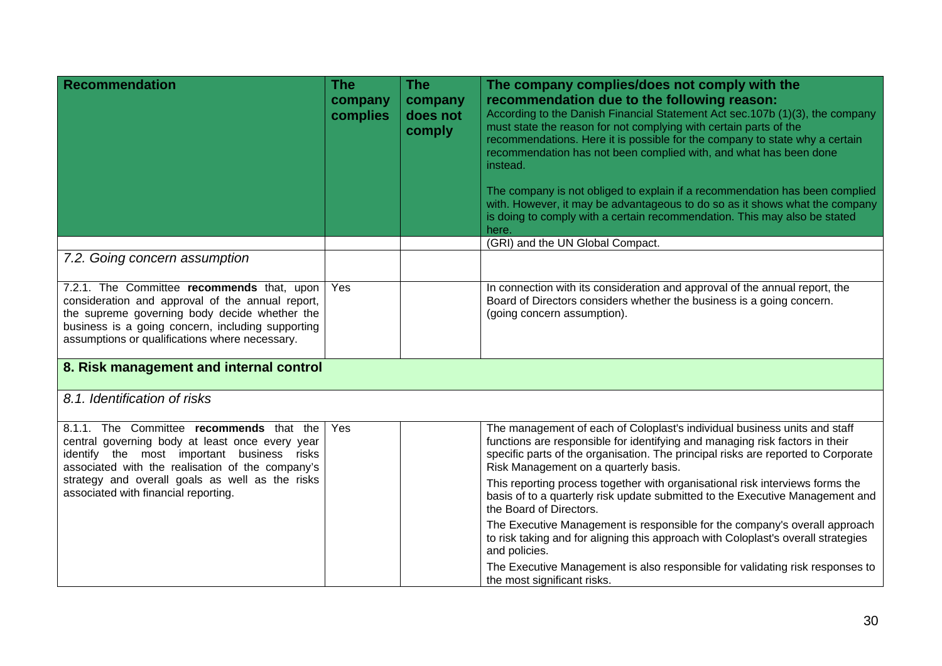| <b>Recommendation</b>                                                                                                                                                                                                                                  | <b>The</b><br>company<br>complies | The<br>company<br>does not<br>comply | The company complies/does not comply with the<br>recommendation due to the following reason:<br>According to the Danish Financial Statement Act sec.107b (1)(3), the company<br>must state the reason for not complying with certain parts of the<br>recommendations. Here it is possible for the company to state why a certain<br>recommendation has not been complied with, and what has been done<br>instead.<br>The company is not obliged to explain if a recommendation has been complied<br>with. However, it may be advantageous to do so as it shows what the company<br>is doing to comply with a certain recommendation. This may also be stated<br>here. |  |
|--------------------------------------------------------------------------------------------------------------------------------------------------------------------------------------------------------------------------------------------------------|-----------------------------------|--------------------------------------|-----------------------------------------------------------------------------------------------------------------------------------------------------------------------------------------------------------------------------------------------------------------------------------------------------------------------------------------------------------------------------------------------------------------------------------------------------------------------------------------------------------------------------------------------------------------------------------------------------------------------------------------------------------------------|--|
|                                                                                                                                                                                                                                                        |                                   |                                      | (GRI) and the UN Global Compact.                                                                                                                                                                                                                                                                                                                                                                                                                                                                                                                                                                                                                                      |  |
| 7.2. Going concern assumption                                                                                                                                                                                                                          |                                   |                                      |                                                                                                                                                                                                                                                                                                                                                                                                                                                                                                                                                                                                                                                                       |  |
| 7.2.1. The Committee recommends that, upon<br>consideration and approval of the annual report,<br>the supreme governing body decide whether the<br>business is a going concern, including supporting<br>assumptions or qualifications where necessary. | Yes                               |                                      | In connection with its consideration and approval of the annual report, the<br>Board of Directors considers whether the business is a going concern.<br>(going concern assumption).                                                                                                                                                                                                                                                                                                                                                                                                                                                                                   |  |
| 8. Risk management and internal control                                                                                                                                                                                                                |                                   |                                      |                                                                                                                                                                                                                                                                                                                                                                                                                                                                                                                                                                                                                                                                       |  |
| 8.1. Identification of risks                                                                                                                                                                                                                           |                                   |                                      |                                                                                                                                                                                                                                                                                                                                                                                                                                                                                                                                                                                                                                                                       |  |
| 8.1.1. The Committee recommends that the<br>central governing body at least once every year<br>identify the most important business risks<br>associated with the realisation of the company's                                                          | Yes                               |                                      | The management of each of Coloplast's individual business units and staff<br>functions are responsible for identifying and managing risk factors in their<br>specific parts of the organisation. The principal risks are reported to Corporate<br>Risk Management on a quarterly basis.                                                                                                                                                                                                                                                                                                                                                                               |  |
| strategy and overall goals as well as the risks<br>associated with financial reporting.                                                                                                                                                                |                                   |                                      | This reporting process together with organisational risk interviews forms the<br>basis of to a quarterly risk update submitted to the Executive Management and<br>the Board of Directors.                                                                                                                                                                                                                                                                                                                                                                                                                                                                             |  |
|                                                                                                                                                                                                                                                        |                                   |                                      | The Executive Management is responsible for the company's overall approach<br>to risk taking and for aligning this approach with Coloplast's overall strategies<br>and policies.                                                                                                                                                                                                                                                                                                                                                                                                                                                                                      |  |
|                                                                                                                                                                                                                                                        |                                   |                                      | The Executive Management is also responsible for validating risk responses to<br>the most significant risks.                                                                                                                                                                                                                                                                                                                                                                                                                                                                                                                                                          |  |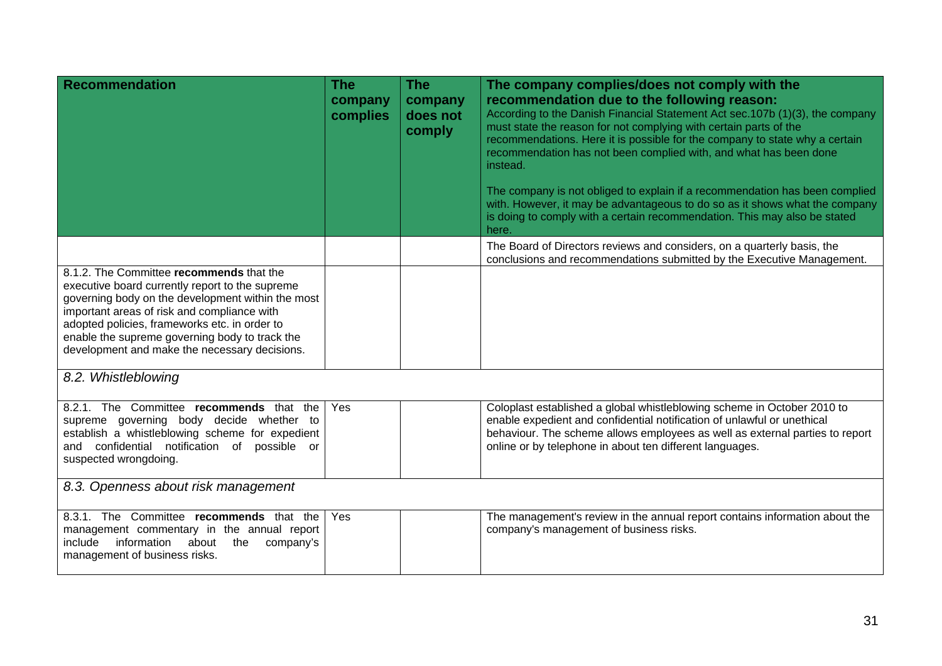| <b>Recommendation</b>                                                                                                                                                                                                                                                                                                                               | The<br>company<br>complies | <b>The</b><br>company<br>does not<br>comply | The company complies/does not comply with the<br>recommendation due to the following reason:<br>According to the Danish Financial Statement Act sec.107b (1)(3), the company<br>must state the reason for not complying with certain parts of the<br>recommendations. Here it is possible for the company to state why a certain<br>recommendation has not been complied with, and what has been done<br>instead. |
|-----------------------------------------------------------------------------------------------------------------------------------------------------------------------------------------------------------------------------------------------------------------------------------------------------------------------------------------------------|----------------------------|---------------------------------------------|-------------------------------------------------------------------------------------------------------------------------------------------------------------------------------------------------------------------------------------------------------------------------------------------------------------------------------------------------------------------------------------------------------------------|
|                                                                                                                                                                                                                                                                                                                                                     |                            |                                             | The company is not obliged to explain if a recommendation has been complied<br>with. However, it may be advantageous to do so as it shows what the company<br>is doing to comply with a certain recommendation. This may also be stated<br>here.                                                                                                                                                                  |
|                                                                                                                                                                                                                                                                                                                                                     |                            |                                             | The Board of Directors reviews and considers, on a quarterly basis, the<br>conclusions and recommendations submitted by the Executive Management.                                                                                                                                                                                                                                                                 |
| 8.1.2. The Committee recommends that the<br>executive board currently report to the supreme<br>governing body on the development within the most<br>important areas of risk and compliance with<br>adopted policies, frameworks etc. in order to<br>enable the supreme governing body to track the<br>development and make the necessary decisions. |                            |                                             |                                                                                                                                                                                                                                                                                                                                                                                                                   |
| 8.2. Whistleblowing                                                                                                                                                                                                                                                                                                                                 |                            |                                             |                                                                                                                                                                                                                                                                                                                                                                                                                   |
| 8.2.1. The Committee recommends that the<br>supreme governing body decide whether to<br>establish a whistleblowing scheme for expedient<br>and confidential notification of possible or<br>suspected wrongdoing.                                                                                                                                    | Yes                        |                                             | Coloplast established a global whistleblowing scheme in October 2010 to<br>enable expedient and confidential notification of unlawful or unethical<br>behaviour. The scheme allows employees as well as external parties to report<br>online or by telephone in about ten different languages.                                                                                                                    |
| 8.3. Openness about risk management                                                                                                                                                                                                                                                                                                                 |                            |                                             |                                                                                                                                                                                                                                                                                                                                                                                                                   |
| 8.3.1. The Committee recommends that the<br>management commentary in the annual report<br>information about the<br>include<br>company's<br>management of business risks.                                                                                                                                                                            | <b>Yes</b>                 |                                             | The management's review in the annual report contains information about the<br>company's management of business risks.                                                                                                                                                                                                                                                                                            |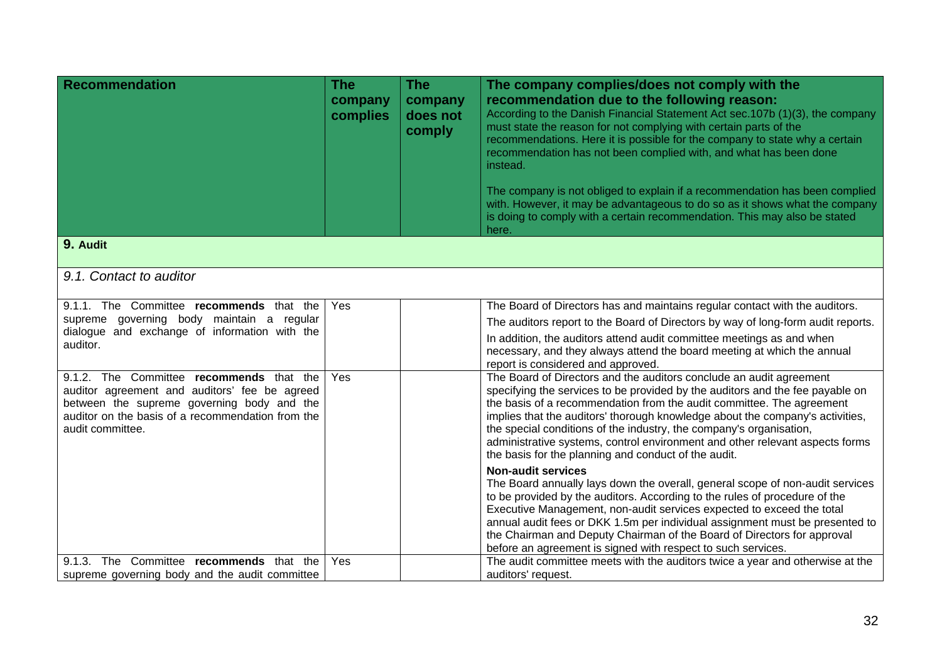| <b>Recommendation</b>                                                                         | <b>The</b><br>company<br>complies | The<br>company<br>does not<br>comply | The company complies/does not comply with the<br>recommendation due to the following reason:<br>According to the Danish Financial Statement Act sec.107b (1)(3), the company<br>must state the reason for not complying with certain parts of the<br>recommendations. Here it is possible for the company to state why a certain<br>recommendation has not been complied with, and what has been done<br>instead.<br>The company is not obliged to explain if a recommendation has been complied<br>with. However, it may be advantageous to do so as it shows what the company<br>is doing to comply with a certain recommendation. This may also be stated<br>here. |
|-----------------------------------------------------------------------------------------------|-----------------------------------|--------------------------------------|-----------------------------------------------------------------------------------------------------------------------------------------------------------------------------------------------------------------------------------------------------------------------------------------------------------------------------------------------------------------------------------------------------------------------------------------------------------------------------------------------------------------------------------------------------------------------------------------------------------------------------------------------------------------------|
| 9. Audit                                                                                      |                                   |                                      |                                                                                                                                                                                                                                                                                                                                                                                                                                                                                                                                                                                                                                                                       |
| 9.1. Contact to auditor                                                                       |                                   |                                      |                                                                                                                                                                                                                                                                                                                                                                                                                                                                                                                                                                                                                                                                       |
| 9.1.1. The Committee recommends that the                                                      | Yes                               |                                      | The Board of Directors has and maintains regular contact with the auditors.                                                                                                                                                                                                                                                                                                                                                                                                                                                                                                                                                                                           |
| supreme governing body maintain a regular<br>dialogue and exchange of information with the    |                                   |                                      | The auditors report to the Board of Directors by way of long-form audit reports.                                                                                                                                                                                                                                                                                                                                                                                                                                                                                                                                                                                      |
| auditor.                                                                                      |                                   |                                      | In addition, the auditors attend audit committee meetings as and when<br>necessary, and they always attend the board meeting at which the annual<br>report is considered and approved.                                                                                                                                                                                                                                                                                                                                                                                                                                                                                |
| 9.1.2. The Committee recommends that the<br>auditor agreement and auditors' fee be agreed     | Yes                               |                                      | The Board of Directors and the auditors conclude an audit agreement<br>specifying the services to be provided by the auditors and the fee payable on                                                                                                                                                                                                                                                                                                                                                                                                                                                                                                                  |
| between the supreme governing body and the                                                    |                                   |                                      | the basis of a recommendation from the audit committee. The agreement                                                                                                                                                                                                                                                                                                                                                                                                                                                                                                                                                                                                 |
| auditor on the basis of a recommendation from the<br>audit committee.                         |                                   |                                      | implies that the auditors' thorough knowledge about the company's activities,<br>the special conditions of the industry, the company's organisation,<br>administrative systems, control environment and other relevant aspects forms<br>the basis for the planning and conduct of the audit.                                                                                                                                                                                                                                                                                                                                                                          |
|                                                                                               |                                   |                                      | <b>Non-audit services</b>                                                                                                                                                                                                                                                                                                                                                                                                                                                                                                                                                                                                                                             |
|                                                                                               |                                   |                                      | The Board annually lays down the overall, general scope of non-audit services<br>to be provided by the auditors. According to the rules of procedure of the<br>Executive Management, non-audit services expected to exceed the total<br>annual audit fees or DKK 1.5m per individual assignment must be presented to<br>the Chairman and Deputy Chairman of the Board of Directors for approval<br>before an agreement is signed with respect to such services.                                                                                                                                                                                                       |
| The Committee recommends that the<br>9.1.3.<br>supreme governing body and the audit committee | Yes                               |                                      | The audit committee meets with the auditors twice a year and otherwise at the<br>auditors' request.                                                                                                                                                                                                                                                                                                                                                                                                                                                                                                                                                                   |
|                                                                                               |                                   |                                      |                                                                                                                                                                                                                                                                                                                                                                                                                                                                                                                                                                                                                                                                       |